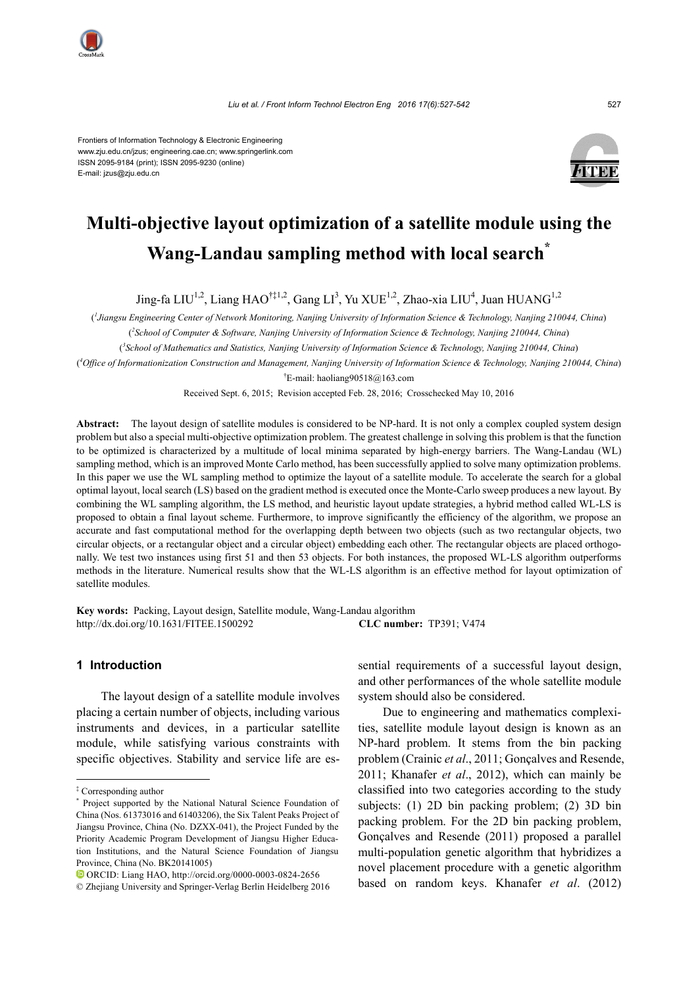Frontiers of Information Technology & Electronic Engineering www.zju.edu.cn/jzus; engineering.cae.cn; www.springerlink.com ISSN 2095-9184 (print); ISSN 2095-9230 (online) E-mail: jzus@zju.edu.cn



# **Multi-objective layout optimization of a satellite module using the Wang-Landau sampling method with local search\***

Jing-fa LIU<sup>1,2</sup>, Liang HAO<sup>†‡1,2</sup>, Gang LI<sup>3</sup>, Yu XUE<sup>1,2</sup>, Zhao-xia LIU<sup>4</sup>, Juan HUANG<sup>1,2</sup>

( *1 Jiangsu Engineering Center of Network Monitoring, Nanjing University of Information Science & Technology, Nanjing 210044, China*)

( *2 School of Computer & Software, Nanjing University of Information Science & Technology, Nanjing 210044, China*)

( *3 School of Mathematics and Statistics, Nanjing University of Information Science & Technology, Nanjing 210044, China*)

( *4 Office of Informationization Construction and Management, Nanjing University of Information Science & Technology, Nanjing 210044, China*)

† E-mail: haoliang90518@163.com

Received Sept. 6, 2015; Revision accepted Feb. 28, 2016; Crosschecked May 10, 2016

**Abstract:** The layout design of satellite modules is considered to be NP-hard. It is not only a complex coupled system design problem but also a special multi-objective optimization problem. The greatest challenge in solving this problem is that the function to be optimized is characterized by a multitude of local minima separated by high-energy barriers. The Wang-Landau (WL) sampling method, which is an improved Monte Carlo method, has been successfully applied to solve many optimization problems. In this paper we use the WL sampling method to optimize the layout of a satellite module. To accelerate the search for a global optimal layout, local search (LS) based on the gradient method is executed once the Monte-Carlo sweep produces a new layout. By combining the WL sampling algorithm, the LS method, and heuristic layout update strategies, a hybrid method called WL-LS is proposed to obtain a final layout scheme. Furthermore, to improve significantly the efficiency of the algorithm, we propose an accurate and fast computational method for the overlapping depth between two objects (such as two rectangular objects, two circular objects, or a rectangular object and a circular object) embedding each other. The rectangular objects are placed orthogonally. We test two instances using first 51 and then 53 objects. For both instances, the proposed WL-LS algorithm outperforms methods in the literature. Numerical results show that the WL-LS algorithm is an effective method for layout optimization of satellite modules.

**Key words:** Packing, Layout design, Satellite module, Wang-Landau algorithm http://dx.doi.org/10.1631/FITEE.1500292 **CLC number:** TP391; V474

# **1 Introduction**

The layout design of a satellite module involves placing a certain number of objects, including various instruments and devices, in a particular satellite module, while satisfying various constraints with specific objectives. Stability and service life are es-

ORCID: Liang HAO, http://orcid.org/0000-0003-0824-2656

© Zhejiang University and Springer-Verlag Berlin Heidelberg 2016

sential requirements of a successful layout design, and other performances of the whole satellite module system should also be considered.

Due to engineering and mathematics complexities, satellite module layout design is known as an NP-hard problem. It stems from the bin packing problem (Crainic *et al*., 2011; Gonçalves and Resende, 2011; Khanafer *et al*., 2012), which can mainly be classified into two categories according to the study subjects: (1) 2D bin packing problem; (2) 3D bin packing problem. For the 2D bin packing problem, Gonçalves and Resende (2011) proposed a parallel multi-population genetic algorithm that hybridizes a novel placement procedure with a genetic algorithm based on random keys. Khanafer *et al*. (2012)

<sup>‡</sup> Corresponding author

<sup>\*</sup> Project supported by the National Natural Science Foundation of China (Nos. 61373016 and 61403206), the Six Talent Peaks Project of Jiangsu Province, China (No. DZXX-041), the Project Funded by the Priority Academic Program Development of Jiangsu Higher Education Institutions, and the Natural Science Foundation of Jiangsu Province, China (No. BK20141005)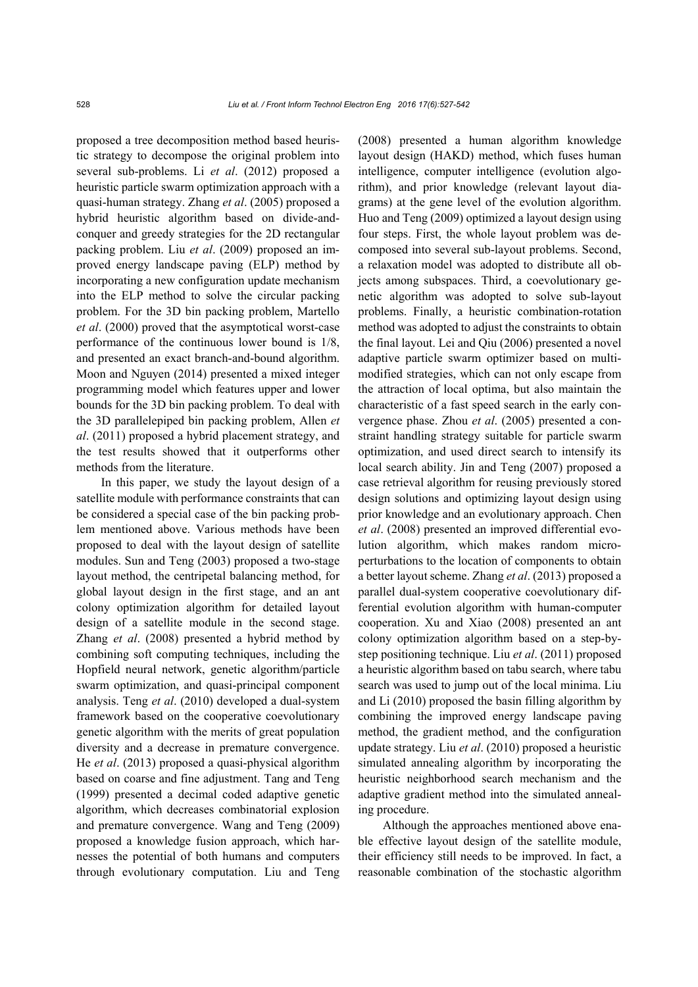proposed a tree decomposition method based heuristic strategy to decompose the original problem into several sub-problems. Li *et al*. (2012) proposed a heuristic particle swarm optimization approach with a quasi-human strategy. Zhang *et al*. (2005) proposed a hybrid heuristic algorithm based on divide-andconquer and greedy strategies for the 2D rectangular packing problem. Liu *et al*. (2009) proposed an improved energy landscape paving (ELP) method by incorporating a new configuration update mechanism into the ELP method to solve the circular packing problem. For the 3D bin packing problem, Martello *et al*. (2000) proved that the asymptotical worst-case performance of the continuous lower bound is 1/8, and presented an exact branch-and-bound algorithm. Moon and Nguyen (2014) presented a mixed integer programming model which features upper and lower bounds for the 3D bin packing problem. To deal with the 3D parallelepiped bin packing problem, Allen *et al*. (2011) proposed a hybrid placement strategy, and the test results showed that it outperforms other methods from the literature.

In this paper, we study the layout design of a satellite module with performance constraints that can be considered a special case of the bin packing problem mentioned above. Various methods have been proposed to deal with the layout design of satellite modules. Sun and Teng (2003) proposed a two-stage layout method, the centripetal balancing method, for global layout design in the first stage, and an ant colony optimization algorithm for detailed layout design of a satellite module in the second stage. Zhang *et al*. (2008) presented a hybrid method by combining soft computing techniques, including the Hopfield neural network, genetic algorithm/particle swarm optimization, and quasi-principal component analysis. Teng *et al*. (2010) developed a dual-system framework based on the cooperative coevolutionary genetic algorithm with the merits of great population diversity and a decrease in premature convergence. He *et al*. (2013) proposed a quasi-physical algorithm based on coarse and fine adjustment. Tang and Teng (1999) presented a decimal coded adaptive genetic algorithm, which decreases combinatorial explosion and premature convergence. Wang and Teng (2009) proposed a knowledge fusion approach, which harnesses the potential of both humans and computers through evolutionary computation. Liu and Teng (2008) presented a human algorithm knowledge layout design (HAKD) method, which fuses human intelligence, computer intelligence (evolution algorithm), and prior knowledge (relevant layout diagrams) at the gene level of the evolution algorithm. Huo and Teng (2009) optimized a layout design using four steps. First, the whole layout problem was decomposed into several sub-layout problems. Second, a relaxation model was adopted to distribute all objects among subspaces. Third, a coevolutionary genetic algorithm was adopted to solve sub-layout problems. Finally, a heuristic combination-rotation method was adopted to adjust the constraints to obtain the final layout. Lei and Qiu (2006) presented a novel adaptive particle swarm optimizer based on multimodified strategies, which can not only escape from the attraction of local optima, but also maintain the characteristic of a fast speed search in the early convergence phase. Zhou *et al*. (2005) presented a constraint handling strategy suitable for particle swarm optimization, and used direct search to intensify its local search ability. Jin and Teng (2007) proposed a case retrieval algorithm for reusing previously stored design solutions and optimizing layout design using prior knowledge and an evolutionary approach. Chen *et al*. (2008) presented an improved differential evolution algorithm, which makes random microperturbations to the location of components to obtain a better layout scheme. Zhang *et al*. (2013) proposed a parallel dual-system cooperative coevolutionary differential evolution algorithm with human-computer cooperation. Xu and Xiao (2008) presented an ant colony optimization algorithm based on a step-bystep positioning technique. Liu *et al*. (2011) proposed a heuristic algorithm based on tabu search, where tabu search was used to jump out of the local minima. Liu and Li (2010) proposed the basin filling algorithm by combining the improved energy landscape paving method, the gradient method, and the configuration update strategy. Liu *et al*. (2010) proposed a heuristic simulated annealing algorithm by incorporating the heuristic neighborhood search mechanism and the adaptive gradient method into the simulated annealing procedure.

Although the approaches mentioned above enable effective layout design of the satellite module, their efficiency still needs to be improved. In fact, a reasonable combination of the stochastic algorithm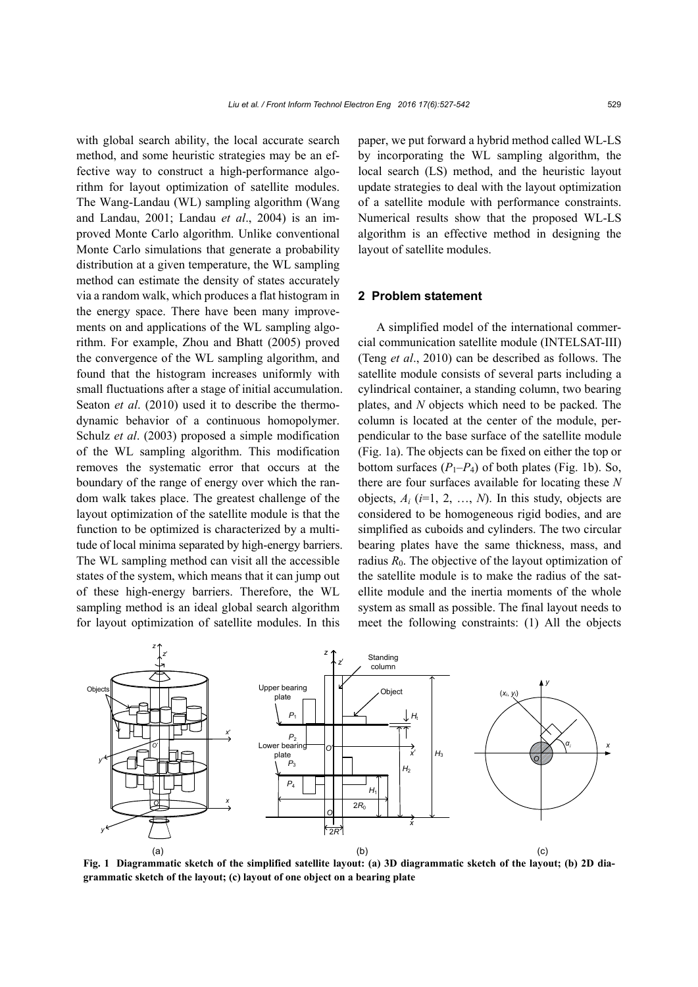with global search ability, the local accurate search method, and some heuristic strategies may be an effective way to construct a high-performance algorithm for layout optimization of satellite modules. The Wang-Landau (WL) sampling algorithm (Wang and Landau, 2001; Landau *et al*., 2004) is an improved Monte Carlo algorithm. Unlike conventional Monte Carlo simulations that generate a probability distribution at a given temperature, the WL sampling method can estimate the density of states accurately via a random walk, which produces a flat histogram in the energy space. There have been many improvements on and applications of the WL sampling algorithm. For example, Zhou and Bhatt (2005) proved the convergence of the WL sampling algorithm, and found that the histogram increases uniformly with small fluctuations after a stage of initial accumulation. Seaton *et al*. (2010) used it to describe the thermodynamic behavior of a continuous homopolymer. Schulz *et al*. (2003) proposed a simple modification of the WL sampling algorithm. This modification removes the systematic error that occurs at the boundary of the range of energy over which the random walk takes place. The greatest challenge of the layout optimization of the satellite module is that the function to be optimized is characterized by a multitude of local minima separated by high-energy barriers. The WL sampling method can visit all the accessible states of the system, which means that it can jump out of these high-energy barriers. Therefore, the WL sampling method is an ideal global search algorithm for layout optimization of satellite modules. In this

paper, we put forward a hybrid method called WL-LS by incorporating the WL sampling algorithm, the local search (LS) method, and the heuristic layout update strategies to deal with the layout optimization of a satellite module with performance constraints. Numerical results show that the proposed WL-LS algorithm is an effective method in designing the layout of satellite modules.

## **2 Problem statement**

A simplified model of the international commercial communication satellite module (INTELSAT-III) (Teng *et al*., 2010) can be described as follows. The satellite module consists of several parts including a cylindrical container, a standing column, two bearing plates, and *N* objects which need to be packed. The column is located at the center of the module, perpendicular to the base surface of the satellite module (Fig. 1a). The objects can be fixed on either the top or bottom surfaces  $(P_1-P_4)$  of both plates (Fig. 1b). So, there are four surfaces available for locating these *N* objects, *Ai* (*i*=1, 2, …, *N*). In this study, objects are considered to be homogeneous rigid bodies, and are simplified as cuboids and cylinders. The two circular bearing plates have the same thickness, mass, and radius  $R_0$ . The objective of the layout optimization of the satellite module is to make the radius of the satellite module and the inertia moments of the whole system as small as possible. The final layout needs to meet the following constraints: (1) All the objects



**Fig. 1 Diagrammatic sketch of the simplified satellite layout: (a) 3D diagrammatic sketch of the layout; (b) 2D diagrammatic sketch of the layout; (c) layout of one object on a bearing plate**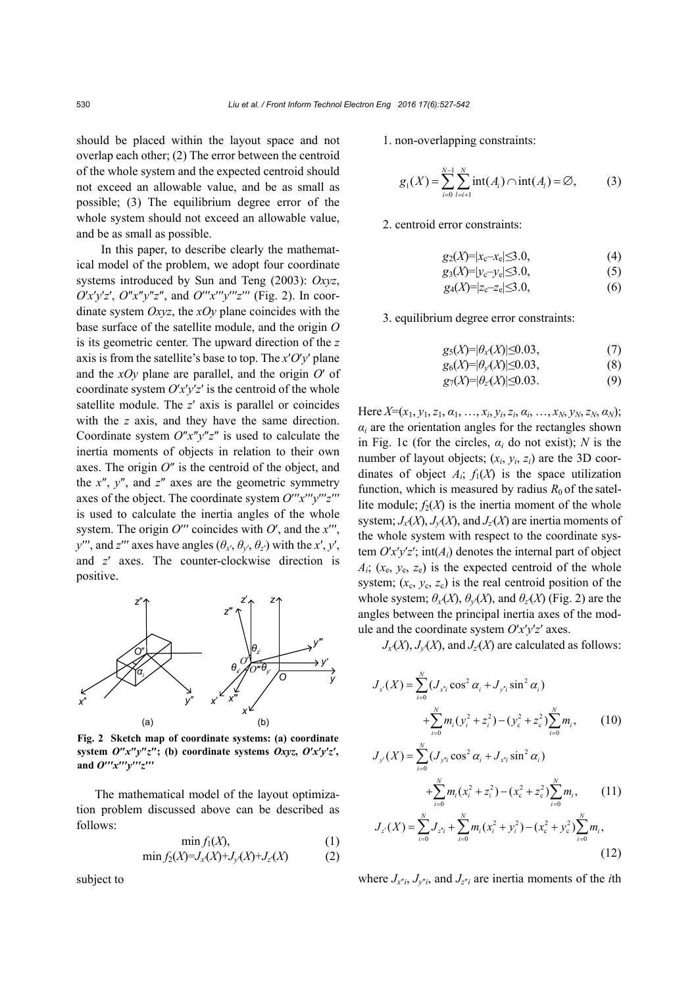should be placed within the layout space and not overlap each other; (2) The error between the centroid of the whole system and the expected centroid should not exceed an allowable value, and be as small as possible; (3) The equilibrium degree error of the whole system should not exceed an allowable value, and be as small as possible.

In this paper, to describe clearly the mathematical model of the problem, we adopt four coordinate systems introduced by Sun and Teng (2003): *Oxyz*, *O*′*x*′*y*′*z*′, *O*″*x*″*y*″*z*″, and *O*′′′*x*′′′*y*′′′*z*′′′ (Fig. 2). In coordinate system *Oxyz*, the *xOy* plane coincides with the base surface of the satellite module, and the origin *O* is its geometric center. The upward direction of the *z* axis is from the satellite's base to top. The *x*′*O*′*y*′ plane and the *xOy* plane are parallel, and the origin *O*′ of coordinate system  $O'x'y'z'$  is the centroid of the whole satellite module. The *z*′ axis is parallel or coincides with the *z* axis, and they have the same direction. Coordinate system *O*″*x*″*y*″*z*″ is used to calculate the inertia moments of objects in relation to their own axes. The origin *O*″ is the centroid of the object, and the *x*″, *y*″, and *z*″ axes are the geometric symmetry axes of the object. The coordinate system *O*′′′*x*′′′*y*′′′*z*′′′ is used to calculate the inertia angles of the whole system. The origin *O*′′′ coincides with *O*′, and the *x*′′′, *y*<sup> $''$ </sup>, and *z*<sup> $''$ </sup> axes have angles  $(\theta_x, \theta_y, \theta_z)$  with the *x*<sup> $\prime$ </sup>, *y*<sup> $\prime$ </sup>, and *z*′ axes. The counter-clockwise direction is positive.



**Fig. 2 Sketch map of coordinate systems: (a) coordinate system** *O***″***x***″***y***″***z***″; (b) coordinate systems** *Oxyz***,** *O***′***x***′***y***′***z***′, and** *O***′′′***x***′′′***y***′′′***z***′′′**

The mathematical model of the layout optimization problem discussed above can be described as follows:

$$
\min f_1(X),\tag{1}
$$

$$
\min f_2(X) = J_x(X) + J_y(X) + J_z(X) \tag{2}
$$

subject to

1. non-overlapping constraints:

$$
g_1(X) = \sum_{i=0}^{N-1} \sum_{l=i+1}^{N} \text{int}(A_i) \cap \text{int}(A_l) = \emptyset,
$$
 (3)

2. centroid error constraints:

$$
g_2(X) = |x_c - x_e| \le 3.0,\tag{4}
$$

$$
g_3(X) = |y_c - y_e| \le 3.0,
$$
 (5)

$$
g_4(X) = |z_c - z_e| \le 3.0,
$$
 (6)

3. equilibrium degree error constraints:

$$
g_5(X) = |\theta_x(X)| \le 0.03,\tag{7}
$$

$$
g_6(X) = |\theta_{y'}(X)| \le 0.03, \tag{8}
$$

$$
g_7(X) = |\theta_z(X)| \le 0.03. \tag{9}
$$

Here  $X=(x_1, y_1, z_1, a_1, \ldots, x_i, y_i, z_i, a_i, \ldots, x_N, y_N, z_N, a_N)$ ;  $a_i$  are the orientation angles for the rectangles shown in Fig. 1c (for the circles,  $\alpha_i$  do not exist); N is the number of layout objects;  $(x_i, y_i, z_i)$  are the 3D coordinates of object  $A_i$ ;  $f_1(X)$  is the space utilization function, which is measured by radius  $R_0$  of the satellite module;  $f_2(X)$  is the inertia moment of the whole system;  $J_x(X)$ ,  $J_y(X)$ , and  $J_z(X)$  are inertia moments of the whole system with respect to the coordinate system  $O'x'y'z'$ ;  $int(A_i)$  denotes the internal part of object *Ai*; (*x*e, *y*e, *z*e) is the expected centroid of the whole system;  $(x_c, y_c, z_c)$  is the real centroid position of the whole system;  $\theta_x(X)$ ,  $\theta_y(X)$ , and  $\theta_z(X)$  (Fig. 2) are the angles between the principal inertia axes of the module and the coordinate system *O*′*x*′*y*′*z*′ axes.

 $J_x(X)$ ,  $J_y(X)$ , and  $J_z(X)$  are calculated as follows:

$$
J_{x}(X) = \sum_{i=0}^{N} (J_{x^{r_i}} \cos^2 \alpha_i + J_{y^{r_i}} \sin^2 \alpha_i)
$$
  
+ 
$$
\sum_{i=0}^{N} m_i (y_i^2 + z_i^2) - (y_c^2 + z_c^2) \sum_{i=0}^{N} m_i,
$$
 (10)

$$
J_{y'}(X) = \sum_{i=0}^{N} (J_{y^{r_i}} \cos^2 \alpha_i + J_{x^{r_i}} \sin^2 \alpha_i)
$$
  
+ 
$$
\sum_{i=0}^{N} m_i (x_i^2 + z_i^2) - (x_c^2 + z_c^2) \sum_{i=0}^{N} m_i,
$$
 (11)

$$
J_{z}(X) = \sum_{i=0}^{N} J_{z'i} + \sum_{i=0}^{N} m_i (x_i^2 + y_i^2) - (x_c^2 + y_c^2) \sum_{i=0}^{N} m_i,
$$
\n(12)

where  $J_{x''i}$ ,  $J_{y''i}$ , and  $J_{z''i}$  are inertia moments of the *i*th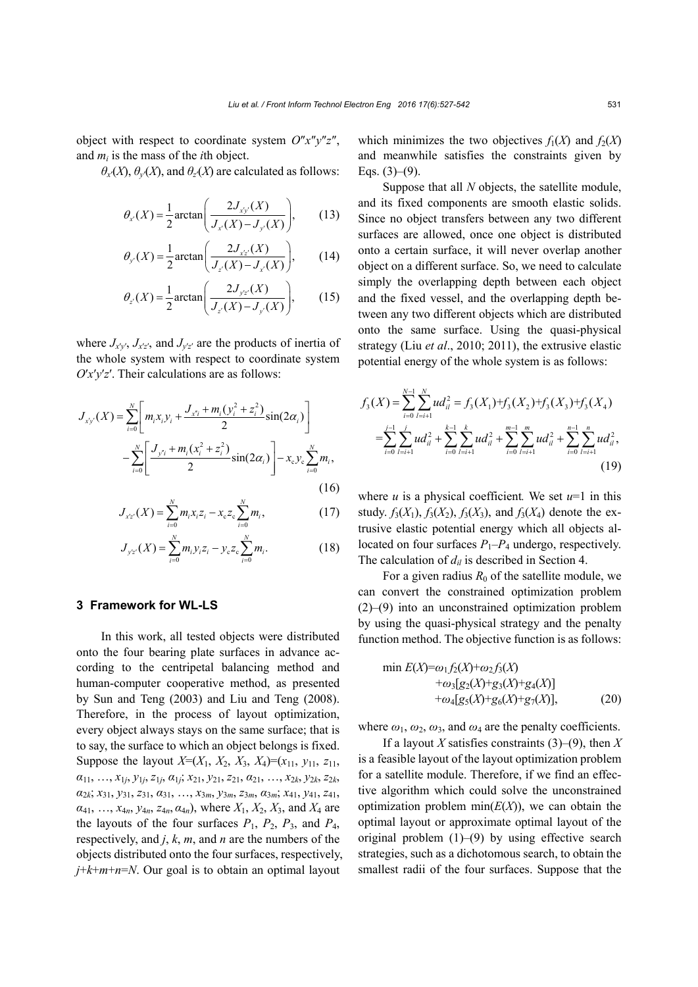object with respect to coordinate system *O*″*x*″*y*″*z*″, and  $m_i$  is the mass of the *i*th object.

 $\theta$ <sup>*x*</sup>(*X*),  $\theta$ <sup>*y*</sup>(*X*), and  $\theta$ <sup>*z*</sup>(*X*) are calculated as follows:

$$
\theta_{x}(X) = \frac{1}{2} \arctan\left(\frac{2J_{x'y'}(X)}{J_{x'}(X) - J_{y'}(X)}\right),
$$
 (13)

$$
\theta_{y'}(X) = \frac{1}{2} \arctan\left(\frac{2J_{x'z'}(X)}{J_{z'}(X) - J_{x'}(X)}\right),
$$
 (14)

$$
\theta_{z}(X) = \frac{1}{2} \arctan\left(\frac{2J_{y'z'}(X)}{J_{z'}(X) - J_{y'}(X)}\right),\tag{15}
$$

where  $J_{x'y'}$ ,  $J_{x'z'}$ , and  $J_{y'z'}$  are the products of inertia of the whole system with respect to coordinate system *O*′*x*′*y*′*z*′. Their calculations are as follows:

$$
J_{x'y'}(X) = \sum_{i=0}^{N} \left[ m_i x_i y_i + \frac{J_{x'i} + m_i (y_i^2 + z_i^2)}{2} \operatorname{sin}(2\alpha_i) \right] - \sum_{i=0}^{N} \left[ \frac{J_{y'i} + m_i (x_i^2 + z_i^2)}{2} \operatorname{sin}(2\alpha_i) \right] - x_c y_c \sum_{i=0}^{N} m_i,
$$
\n(16)

$$
J_{x'z'}(X) = \sum_{i=0}^{N} m_i x_i z_i - x_c z_c \sum_{i=0}^{N} m_i,
$$
 (17)

$$
J_{y'z'}(X) = \sum_{i=0}^{N} m_i y_i z_i - y_c z_c \sum_{i=0}^{N} m_i.
$$
 (18)

## **3 Framework for WL-LS**

In this work, all tested objects were distributed onto the four bearing plate surfaces in advance according to the centripetal balancing method and human-computer cooperative method, as presented by Sun and Teng (2003) and Liu and Teng (2008). Therefore, in the process of layout optimization, every object always stays on the same surface; that is to say, the surface to which an object belongs is fixed. Suppose the layout *X*=(*X*<sub>1</sub>, *X*<sub>2</sub>, *X*<sub>3</sub>, *X*<sub>4</sub>)=(*x*<sub>11</sub>, *y*<sub>11</sub>, *z*<sub>11</sub>, *α*11, …, *x*1*j*, *y*1*j*, *z*1*j*, *α*1*j*; *x*21, *y*21, *z*21, *α*21, …, *x*2*k*, *y*2*k*, *z*2*k*, *α*2*k*; *x*31, *y*31, *z*31, *α*31, …, *x*3*m*, *y*3*m*, *z*3*m*, *α*3*m*; *x*41, *y*41, *z*41,  $\alpha_{41}, \ldots, \alpha_{4n}, \gamma_{4n}, \ldots, \alpha_{4n}, \alpha_{4n}$ , where  $X_1, X_2, X_3$ , and  $X_4$  are the layouts of the four surfaces  $P_1$ ,  $P_2$ ,  $P_3$ , and  $P_4$ , respectively, and *j*, *k*, *m*, and *n* are the numbers of the objects distributed onto the four surfaces, respectively, *j*+*k*+*m*+*n*=*N*. Our goal is to obtain an optimal layout which minimizes the two objectives  $f_1(X)$  and  $f_2(X)$ and meanwhile satisfies the constraints given by Eqs.  $(3)$ – $(9)$ .

Suppose that all *N* objects, the satellite module, and its fixed components are smooth elastic solids. Since no object transfers between any two different surfaces are allowed, once one object is distributed onto a certain surface, it will never overlap another object on a different surface. So, we need to calculate simply the overlapping depth between each object and the fixed vessel, and the overlapping depth between any two different objects which are distributed onto the same surface. Using the quasi-physical strategy (Liu *et al*., 2010; 2011), the extrusive elastic potential energy of the whole system is as follows:

$$
f_3(X) = \sum_{i=0}^{N-1} \sum_{l=i+1}^{N} u d_{il}^2 = f_3(X_1) + f_3(X_2) + f_3(X_3) + f_3(X_4)
$$
  
= 
$$
\sum_{i=0}^{j-1} \sum_{l=i+1}^{j} u d_{il}^2 + \sum_{i=0}^{k-1} \sum_{l=i+1}^{k} u d_{il}^2 + \sum_{i=0}^{m-1} \sum_{l=i+1}^{m} u d_{il}^2 + \sum_{i=0}^{n-1} \sum_{l=i+1}^{n} u d_{il}^2,
$$
(19)

where  $u$  is a physical coefficient. We set  $u=1$  in this study.  $f_3(X_1)$ ,  $f_3(X_2)$ ,  $f_3(X_3)$ , and  $f_3(X_4)$  denote the extrusive elastic potential energy which all objects allocated on four surfaces  $P_1-P_4$  undergo, respectively. The calculation of  $d_{il}$  is described in Section 4.

For a given radius  $R_0$  of the satellite module, we can convert the constrained optimization problem (2)–(9) into an unconstrained optimization problem by using the quasi-physical strategy and the penalty function method. The objective function is as follows:

$$
\min E(X)=\omega_1 f_2(X)+\omega_2 f_3(X) \n+\omega_3[g_2(X)+g_3(X)+g_4(X)] \n+\omega_4[g_5(X)+g_6(X)+g_7(X)],
$$
\n(20)

where  $\omega_1$ ,  $\omega_2$ ,  $\omega_3$ , and  $\omega_4$  are the penalty coefficients.

If a layout *X* satisfies constraints (3)–(9), then *X* is a feasible layout of the layout optimization problem for a satellite module. Therefore, if we find an effective algorithm which could solve the unconstrained optimization problem  $min(E(X))$ , we can obtain the optimal layout or approximate optimal layout of the original problem  $(1)$ – $(9)$  by using effective search strategies, such as a dichotomous search, to obtain the smallest radii of the four surfaces. Suppose that the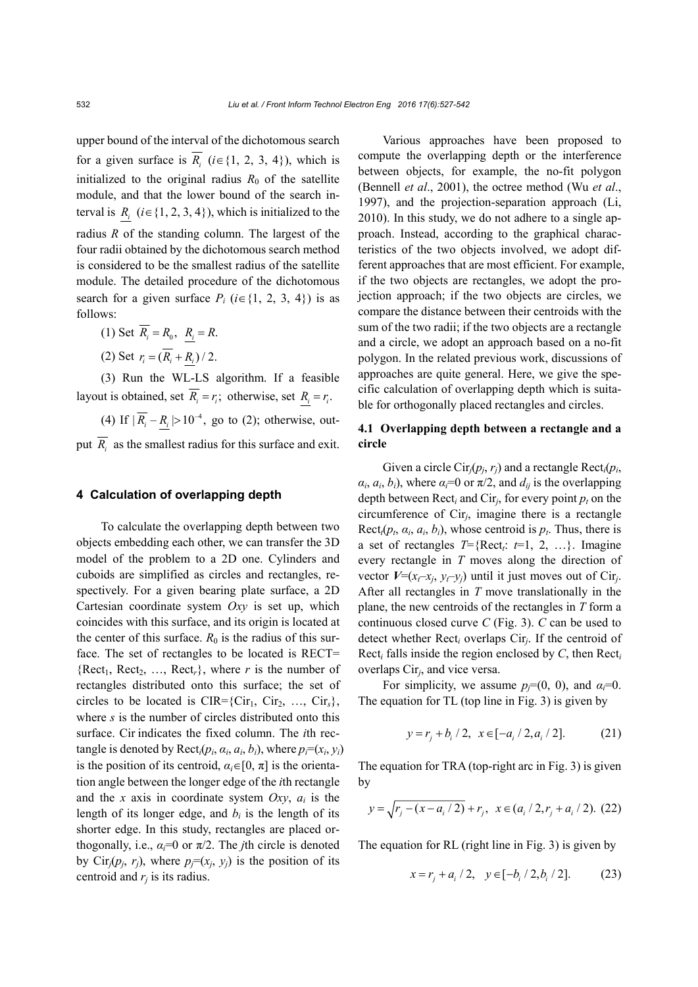upper bound of the interval of the dichotomous search for a given surface is  $R_i$  ( $i \in \{1, 2, 3, 4\}$ ), which is initialized to the original radius  $R_0$  of the satellite module, and that the lower bound of the search interval is  $R_i$  ( $i \in \{1, 2, 3, 4\}$ ), which is initialized to the radius *R* of the standing column. The largest of the four radii obtained by the dichotomous search method is considered to be the smallest radius of the satellite module. The detailed procedure of the dichotomous search for a given surface  $P_i$  ( $i \in \{1, 2, 3, 4\}$ ) is as follows:

- (1) Set  $\overline{R_i} = R_0$ ,  $R_i = R$ .
- (2) Set  $r_i = (\overline{R_i} + R_i)/2$ .

(3) Run the WL-LS algorithm. If a feasible layout is obtained, set  $\overline{R_i} = r_i$ ; otherwise, set  $R_i = r_i$ .

(4) If  $|\overline{R_i} - R_i| > 10^{-4}$ , go to (2); otherwise, output  $\overline{R_i}$  as the smallest radius for this surface and exit.

## **4 Calculation of overlapping depth**

To calculate the overlapping depth between two objects embedding each other, we can transfer the 3D model of the problem to a 2D one. Cylinders and cuboids are simplified as circles and rectangles, respectively. For a given bearing plate surface, a 2D Cartesian coordinate system *Oxy* is set up, which coincides with this surface, and its origin is located at the center of this surface.  $R_0$  is the radius of this surface. The set of rectangles to be located is RECT=  ${Rect<sub>1</sub>, Rect<sub>2</sub>, ..., Rect<sub>r</sub>}$ , where *r* is the number of rectangles distributed onto this surface; the set of circles to be located is  $CIR = \{ Cir_1, Cir_2, ..., Cir_s\},\$ where *s* is the number of circles distributed onto this surface. Cir indicates the fixed column. The *i*th rectangle is denoted by  $\text{Rect}_i(p_i, \alpha_i, a_i, b_i)$ , where  $p_i = (x_i, y_i)$ is the position of its centroid,  $\alpha_i \in [0, \pi]$  is the orientation angle between the longer edge of the *i*th rectangle and the *x* axis in coordinate system *Oxy*, *ai* is the length of its longer edge, and  $b_i$  is the length of its shorter edge. In this study, rectangles are placed orthogonally, i.e.,  $\alpha_i=0$  or  $\pi/2$ . The *j*th circle is denoted by Cir<sub>j</sub>( $p_j$ ,  $r_j$ ), where  $p_j=(x_j, y_j)$  is the position of its centroid and  $r_i$  is its radius.

Various approaches have been proposed to compute the overlapping depth or the interference between objects, for example, the no-fit polygon (Bennell *et al*., 2001), the octree method (Wu *et al*., 1997), and the projection-separation approach (Li, 2010). In this study, we do not adhere to a single approach. Instead, according to the graphical characteristics of the two objects involved, we adopt different approaches that are most efficient. For example, if the two objects are rectangles, we adopt the projection approach; if the two objects are circles, we compare the distance between their centroids with the sum of the two radii; if the two objects are a rectangle and a circle, we adopt an approach based on a no-fit polygon. In the related previous work, discussions of approaches are quite general. Here, we give the specific calculation of overlapping depth which is suitable for orthogonally placed rectangles and circles.

# **4.1 Overlapping depth between a rectangle and a circle**

Given a circle  $\text{Cir}_i(p_i, r_i)$  and a rectangle  $\text{Rect}_i(p_i, r_i)$  $\alpha_i$ ,  $\alpha_i$ ,  $\beta_i$ ), where  $\alpha_i = 0$  or  $\pi/2$ , and  $d_{ii}$  is the overlapping depth between Rect<sub>*i*</sub> and Cir<sub>*i*</sub>, for every point  $p_t$  on the circumference of Cir*j*, imagine there is a rectangle Rect<sub>t</sub>( $p_t$ ,  $\alpha_i$ ,  $a_i$ ,  $b_i$ ), whose centroid is  $p_t$ . Thus, there is a set of rectangles  $T = \{ \text{Rect}_t: t=1, 2, \ldots \}$ . Imagine every rectangle in *T* moves along the direction of vector  $V=(x_i-x_i, y_i-y_i)$  until it just moves out of Cir<sub>*i*</sub>. After all rectangles in *T* move translationally in the plane, the new centroids of the rectangles in *T* form a continuous closed curve *C* (Fig. 3). *C* can be used to detect whether Rect*i* overlaps Cir*j*. If the centroid of Rect*i* falls inside the region enclosed by *C*, then Rect*<sup>i</sup>* overlaps Cir*j*, and vice versa.

For simplicity, we assume  $p_i=(0, 0)$ , and  $\alpha_i=0$ . The equation for TL (top line in Fig. 3) is given by

$$
y = r_j + b_i / 2, \ \ x \in [-a_i / 2, a_i / 2]. \tag{21}
$$

The equation for TRA (top-right arc in Fig. 3) is given by

$$
y = \sqrt{r_j - (x - a_i / 2)} + r_j, \ \ x \in (a_i / 2, r_j + a_i / 2). \tag{22}
$$

The equation for RL (right line in Fig. 3) is given by

$$
x = r_i + a_i / 2, \quad y \in [-b_i / 2, b_i / 2].
$$
 (23)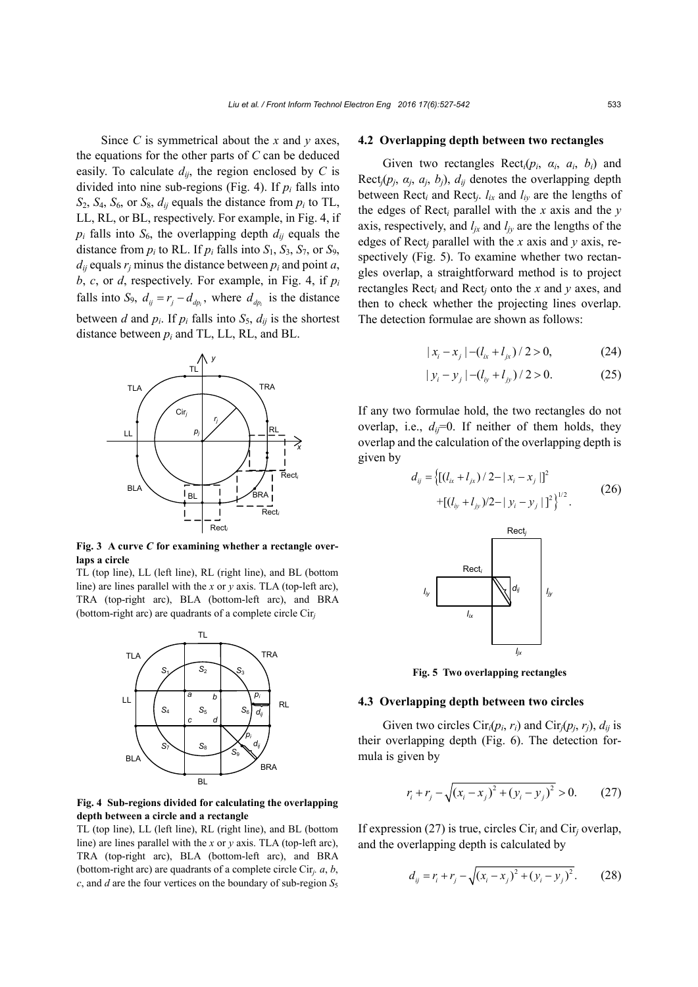Since *C* is symmetrical about the *x* and *y* axes, the equations for the other parts of *C* can be deduced easily. To calculate  $d_{ij}$ , the region enclosed by  $C$  is divided into nine sub-regions (Fig. 4). If  $p_i$  falls into  $S_2$ ,  $S_4$ ,  $S_6$ , or  $S_8$ ,  $d_{ii}$  equals the distance from  $p_i$  to TL, LL, RL, or BL, respectively. For example, in Fig. 4, if  $p_i$  falls into  $S_6$ , the overlapping depth  $d_{ij}$  equals the distance from  $p_i$  to RL. If  $p_i$  falls into  $S_1$ ,  $S_3$ ,  $S_7$ , or  $S_9$ ,  $d_{ii}$  equals  $r_i$  minus the distance between  $p_i$  and point  $a$ , *b*, *c*, or *d*, respectively. For example, in Fig. 4, if *pi* falls into *S*<sub>9</sub>,  $d_{ij} = r_j - d_{dp_i}$ , where  $d_{dp_i}$  is the distance between *d* and  $p_i$ . If  $p_i$  falls into  $S_5$ ,  $d_{ij}$  is the shortest distance between  $p_i$  and TL, LL, RL, and BL.



**Fig. 3 A curve** *C* **for examining whether a rectangle overlaps a circle** 

TL (top line), LL (left line), RL (right line), and BL (bottom line) are lines parallel with the *x* or *y* axis. TLA (top-left arc), TRA (top-right arc), BLA (bottom-left arc), and BRA (bottom-right arc) are quadrants of a complete circle Cir*<sup>j</sup>*



## **Fig. 4 Sub-regions divided for calculating the overlapping depth between a circle and a rectangle**

 TL (top line), LL (left line), RL (right line), and BL (bottom line) are lines parallel with the *x* or *y* axis. TLA (top-left arc), TRA (top-right arc), BLA (bottom-left arc), and BRA (bottom-right arc) are quadrants of a complete circle Cir*j. a*, *b*,  $c$ , and *d* are the four vertices on the boundary of sub-region  $S_5$ 

### **4.2 Overlapping depth between two rectangles**

Given two rectangles  $\text{Rect}_i(p_i, a_i, a_i, b_i)$  and Rect<sub>*i*</sub>( $p_i$ ,  $\alpha_i$ ,  $a_j$ ,  $b_j$ ),  $d_{ij}$  denotes the overlapping depth between Rect<sub>*i*</sub> and Rect<sub>*i*</sub>.  $l_{ix}$  and  $l_{iy}$  are the lengths of the edges of Rect*i* parallel with the *x* axis and the *y* axis, respectively, and  $l_{ix}$  and  $l_{iy}$  are the lengths of the edges of Rect*j* parallel with the *x* axis and *y* axis, respectively (Fig. 5). To examine whether two rectangles overlap, a straightforward method is to project rectangles Rect*i* and Rect*j* onto the *x* and *y* axes, and then to check whether the projecting lines overlap. The detection formulae are shown as follows:

$$
|x_i - x_j| - (l_{ix} + l_{jx}) / 2 > 0,
$$
 (24)

$$
|y_i - y_j| - (l_{iy} + l_{jy})/2 > 0.
$$
 (25)

If any two formulae hold, the two rectangles do not overlap, i.e.,  $d_{ij}=0$ . If neither of them holds, they overlap and the calculation of the overlapping depth is given by

$$
d_{ij} = \left\{ \left[ (l_{ix} + l_{jx}) / 2 - |x_i - x_j| \right]^2 + \left[ (l_{iy} + l_{jy}) / 2 - |y_i - y_j| \right]^2 \right\}^{1/2}.
$$
 (26)



**Fig. 5 Two overlapping rectangles** 

### **4.3 Overlapping depth between two circles**

Given two circles  $\text{Cir}_i(p_i, r_i)$  and  $\text{Cir}_i(p_i, r_i)$ ,  $d_{ii}$  is their overlapping depth (Fig. 6). The detection formula is given by

$$
r_i + r_j - \sqrt{(x_i - x_j)^2 + (y_i - y_j)^2} > 0.
$$
 (27)

If expression (27) is true, circles Cir*i* and Cir*j* overlap, and the overlapping depth is calculated by

$$
d_{ij} = r_i + r_j - \sqrt{(x_i - x_j)^2 + (y_i - y_j)^2}.
$$
 (28)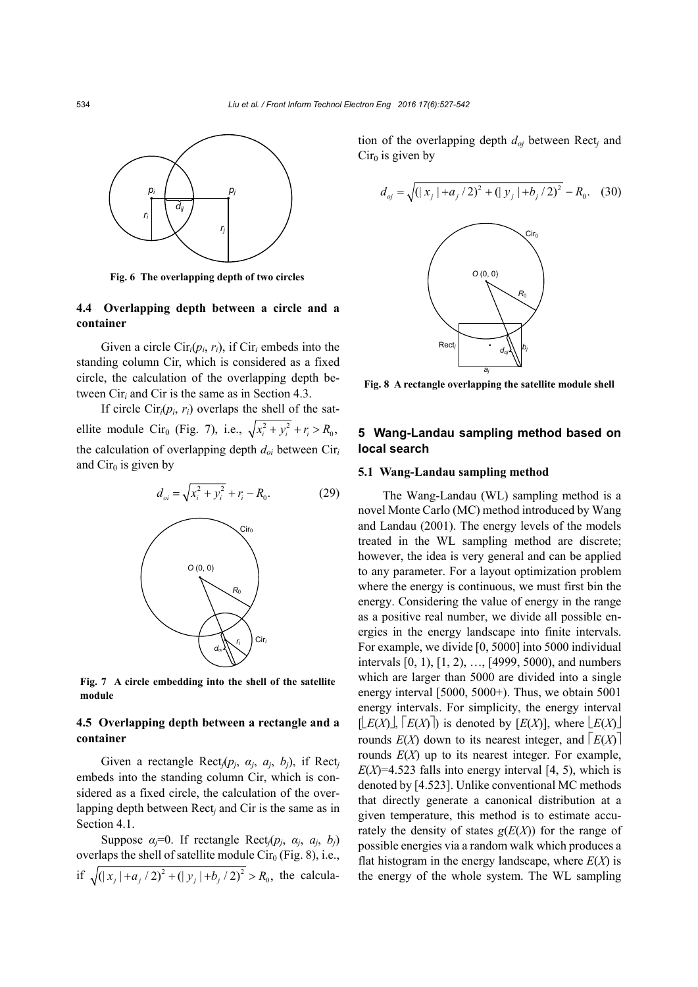

**Fig. 6 The overlapping depth of two circles** 

## **4.4 Overlapping depth between a circle and a container**

Given a circle  $\text{Cir}_i(p_i, r_i)$ , if  $\text{Cir}_i$  embeds into the standing column Cir, which is considered as a fixed circle, the calculation of the overlapping depth between Cir*i* and Cir is the same as in Section 4.3.

If circle  $\text{Cir}_i(p_i, r_i)$  overlaps the shell of the satellite module Cir<sub>0</sub> (Fig. 7), i.e.,  $\sqrt{x_i^2 + y_i^2 + r_i} > R_0$ , the calculation of overlapping depth  $d_{oi}$  between Cir<sub>i</sub> and  $Cir_0$  is given by



**Fig. 7 A circle embedding into the shell of the satellite module** 

# **4.5 Overlapping depth between a rectangle and a container**

Given a rectangle Rect<sub>*i*</sub>( $p_i$ ,  $\alpha_i$ ,  $a_j$ ,  $b_i$ ), if Rect<sub>*i*</sub> embeds into the standing column Cir, which is considered as a fixed circle, the calculation of the overlapping depth between Rect*j* and Cir is the same as in Section 4.1.

Suppose  $\alpha_i=0$ . If rectangle Rect<sub>i</sub>( $p_i$ ,  $\alpha_i$ ,  $a_j$ ,  $b_j$ ) overlaps the shell of satellite module  $Cir_0$  (Fig. 8), i.e., if  $\sqrt{(|x_j| + a_j/2)^2 + (|y_j| + b_j/2)^2} > R_0$ , the calculation of the overlapping depth *doj* between Rect*j* and  $Cir_0$  is given by

$$
d_{oj} = \sqrt{(|x_j| + a_j/2)^2 + (|y_j| + b_j/2)^2} - R_0.
$$
 (30)

**Fig. 8 A rectangle overlapping the satellite module shell**

# **5 Wang-Landau sampling method based on local search**

### **5.1 Wang-Landau sampling method**

The Wang-Landau (WL) sampling method is a novel Monte Carlo (MC) method introduced by Wang and Landau (2001). The energy levels of the models treated in the WL sampling method are discrete; however, the idea is very general and can be applied to any parameter. For a layout optimization problem where the energy is continuous, we must first bin the energy. Considering the value of energy in the range as a positive real number, we divide all possible energies in the energy landscape into finite intervals. For example, we divide [0, 5000] into 5000 individual intervals [0, 1), [1, 2), …, [4999, 5000), and numbers which are larger than 5000 are divided into a single energy interval [5000, 5000+). Thus, we obtain 5001 energy intervals. For simplicity, the energy interval  $[E(X), E(X)]$  is denoted by  $[E(X)]$ , where  $[E(X)]$ rounds  $E(X)$  down to its nearest integer, and  $E(X)$ rounds  $E(X)$  up to its nearest integer. For example,  $E(X)$ =4.523 falls into energy interval [4, 5), which is denoted by [4.523]. Unlike conventional MC methods that directly generate a canonical distribution at a given temperature, this method is to estimate accurately the density of states  $g(E(X))$  for the range of possible energies via a random walk which produces a flat histogram in the energy landscape, where  $E(X)$  is the energy of the whole system. The WL sampling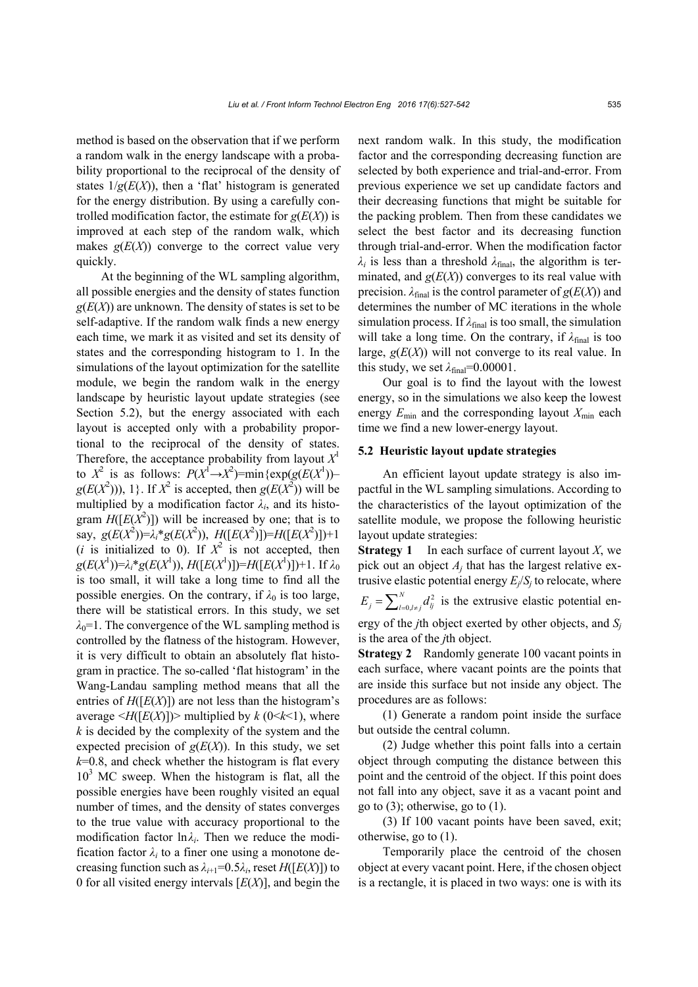method is based on the observation that if we perform a random walk in the energy landscape with a probability proportional to the reciprocal of the density of states  $1/g(E(X))$ , then a 'flat' histogram is generated for the energy distribution. By using a carefully controlled modification factor, the estimate for  $g(E(X))$  is improved at each step of the random walk, which makes  $g(E(X))$  converge to the correct value very quickly.

At the beginning of the WL sampling algorithm, all possible energies and the density of states function  $g(E(X))$  are unknown. The density of states is set to be self-adaptive. If the random walk finds a new energy each time, we mark it as visited and set its density of states and the corresponding histogram to 1. In the simulations of the layout optimization for the satellite module, we begin the random walk in the energy landscape by heuristic layout update strategies (see Section 5.2), but the energy associated with each layout is accepted only with a probability proportional to the reciprocal of the density of states. Therefore, the acceptance probability from layout  $X<sup>1</sup>$ to  $X^2$  is as follows:  $P(X^1 \rightarrow X^2)$ =min{exp( $g(E(X^1))$  $g(E(X^2))$ , 1}. If  $X^2$  is accepted, then  $g(E(X^2))$  will be multiplied by a modification factor  $\lambda_i$ , and its histogram  $H([E(X^2)])$  will be increased by one; that is to say,  $g(E(X^2))=\lambda_i * g(E(X^2)), H([E(X^2)])=H([E(X^2)])+1$  $(i$  is initialized to 0). If  $X^2$  is not accepted, then *g*(*E*(*X*<sup>1</sup> ))=*λi*\**g*(*E*(*X*<sup>1</sup> )), *H*([*E*(*X*<sup>1</sup> )])=*H*([*E*(*X*<sup>1</sup> )])+1. If *λ*<sup>0</sup> is too small, it will take a long time to find all the possible energies. On the contrary, if  $\lambda_0$  is too large, there will be statistical errors. In this study, we set  $\lambda_0$ =1. The convergence of the WL sampling method is controlled by the flatness of the histogram. However, it is very difficult to obtain an absolutely flat histogram in practice. The so-called 'flat histogram' in the Wang-Landau sampling method means that all the entries of  $H([E(X)])$  are not less than the histogram's average  $\leq H([E(X)])$  multiplied by  $k$  (0 $\leq k \leq 1$ ), where *k* is decided by the complexity of the system and the expected precision of  $g(E(X))$ . In this study, we set  $k=0.8$ , and check whether the histogram is flat every 10<sup>3</sup> MC sweep. When the histogram is flat, all the possible energies have been roughly visited an equal number of times, and the density of states converges to the true value with accuracy proportional to the modification factor  $\ln \lambda_i$ . Then we reduce the modification factor  $\lambda_i$  to a finer one using a monotone decreasing function such as  $\lambda_{i+1}=0.5\lambda_i$ , reset  $H([E(X)])$  to 0 for all visited energy intervals [*E*(*X*)], and begin the

next random walk. In this study, the modification factor and the corresponding decreasing function are selected by both experience and trial-and-error. From previous experience we set up candidate factors and their decreasing functions that might be suitable for the packing problem. Then from these candidates we select the best factor and its decreasing function through trial-and-error. When the modification factor  $\lambda_i$  is less than a threshold  $\lambda_{\text{final}}$ , the algorithm is terminated, and  $g(E(X))$  converges to its real value with precision.  $\lambda_{final}$  is the control parameter of  $g(E(X))$  and determines the number of MC iterations in the whole simulation process. If  $\lambda_{final}$  is too small, the simulation will take a long time. On the contrary, if  $\lambda_{final}$  is too large,  $g(E(X))$  will not converge to its real value. In this study, we set  $\lambda_{final} = 0.00001$ .

Our goal is to find the layout with the lowest energy, so in the simulations we also keep the lowest energy  $E_{\text{min}}$  and the corresponding layout  $X_{\text{min}}$  each time we find a new lower-energy layout.

#### **5.2 Heuristic layout update strategies**

An efficient layout update strategy is also impactful in the WL sampling simulations. According to the characteristics of the layout optimization of the satellite module, we propose the following heuristic layout update strategies:

**Strategy 1** In each surface of current layout  $X$ , we pick out an object  $A_i$  that has the largest relative extrusive elastic potential energy  $E_i/S_i$  to relocate, where 2 0, *N*  $E_j = \sum_{l=0, l \neq j}^{N} d_{lj}^2$  is the extrusive elastic potential energy of the *j*th object exerted by other objects, and *Sj* is the area of the *j*th object.

**Strategy 2** Randomly generate 100 vacant points in each surface, where vacant points are the points that are inside this surface but not inside any object. The procedures are as follows:

(1) Generate a random point inside the surface but outside the central column.

(2) Judge whether this point falls into a certain object through computing the distance between this point and the centroid of the object. If this point does not fall into any object, save it as a vacant point and go to  $(3)$ ; otherwise, go to  $(1)$ .

(3) If 100 vacant points have been saved, exit; otherwise, go to (1).

Temporarily place the centroid of the chosen object at every vacant point. Here, if the chosen object is a rectangle, it is placed in two ways: one is with its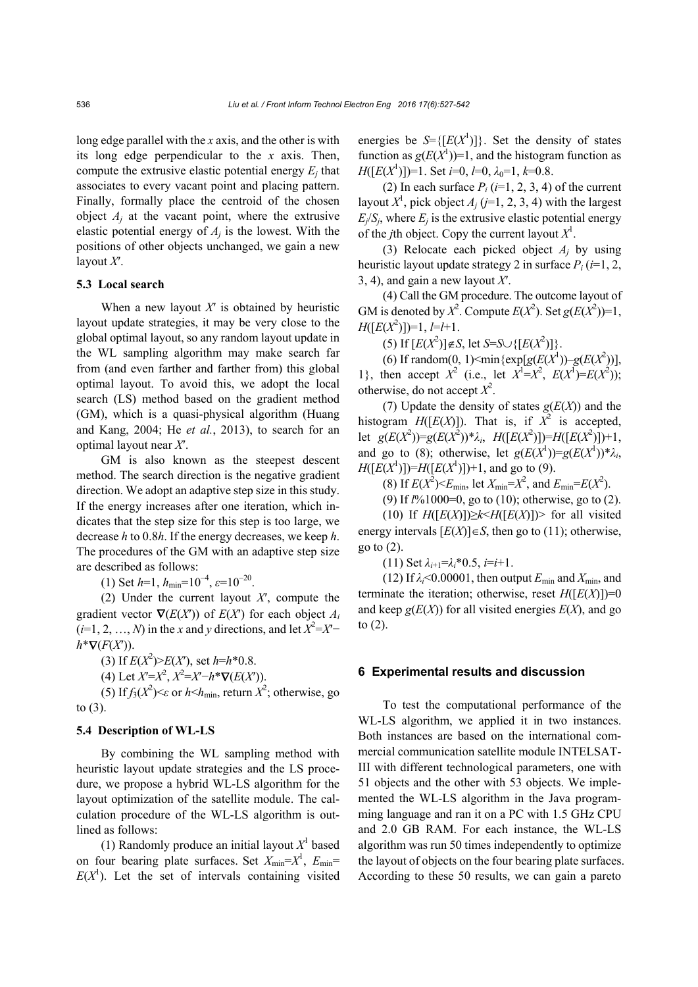long edge parallel with the *x* axis, and the other is with its long edge perpendicular to the *x* axis. Then, compute the extrusive elastic potential energy  $E_i$  that associates to every vacant point and placing pattern. Finally, formally place the centroid of the chosen object  $A_i$  at the vacant point, where the extrusive elastic potential energy of  $A_i$  is the lowest. With the positions of other objects unchanged, we gain a new layout *X*′.

## **5.3 Local search**

When a new layout  $X'$  is obtained by heuristic layout update strategies, it may be very close to the global optimal layout, so any random layout update in the WL sampling algorithm may make search far from (and even farther and farther from) this global optimal layout. To avoid this, we adopt the local search (LS) method based on the gradient method (GM), which is a quasi-physical algorithm (Huang and Kang, 2004; He *et al.*, 2013), to search for an optimal layout near *X*′.

GM is also known as the steepest descent method. The search direction is the negative gradient direction. We adopt an adaptive step size in this study. If the energy increases after one iteration, which indicates that the step size for this step is too large, we decrease *h* to 0.8*h*. If the energy decreases, we keep *h*. The procedures of the GM with an adaptive step size are described as follows:

(1) Set  $h=1$ ,  $h_{\text{min}}=10^{-4}$ ,  $\varepsilon=10^{-20}$ .

(2) Under the current layout *X*′, compute the gradient vector  $\nabla(E(X'))$  of  $E(X')$  for each object  $A_i$  $(i=1, 2, ..., N)$  in the *x* and *y* directions, and let  $X^2 = X'$  $h^* \nabla(F(X'))$ .

(3) If  $E(X^2) > E(X^r)$ , set  $h=h*0.8$ .

(4) Let  $X = X^2$ ,  $X^2 = X^2 - h^* \nabla(E(X'))$ .

(5) If  $f_3(X^2) \leq \varepsilon$  or  $h \leq h_{\min}$ , return  $X^2$ ; otherwise, go to (3).

## **5.4 Description of WL-LS**

By combining the WL sampling method with heuristic layout update strategies and the LS procedure, we propose a hybrid WL-LS algorithm for the layout optimization of the satellite module. The calculation procedure of the WL-LS algorithm is outlined as follows:

(1) Randomly produce an initial layout  $X<sup>1</sup>$  based on four bearing plate surfaces. Set  $X_{\text{min}} = X^1$ ,  $E_{\text{min}} =$  $E(X<sup>1</sup>)$ . Let the set of intervals containing visited energies be  $S = \{ [E(X^1)] \}$ . Set the density of states function as  $g(E(X^1))=1$ , and the histogram function as *H*( $[E(X^1)]$ )=1. Set *i*=0, *l*=0,  $\lambda_0$ =1, *k*=0.8.

(2) In each surface  $P_i$  ( $i=1, 2, 3, 4$ ) of the current layout  $X^1$ , pick object  $A_j$  ( $j=1, 2, 3, 4$ ) with the largest  $E_j/S_j$ , where  $E_j$  is the extrusive elastic potential energy of the *j*th object. Copy the current layout  $X^1$ .

(3) Relocate each picked object *Aj* by using heuristic layout update strategy 2 in surface  $P_i$  ( $i=1, 2,$ 3, 4), and gain a new layout *X*′.

(4) Call the GM procedure. The outcome layout of GM is denoted by  $X^2$ . Compute  $E(X^2)$ . Set  $g(E(X^2))=1$ ,  $H([E(X^2)])=1, \, l=l+1.$ 

(5) If  $[E(X^2)] \notin S$ , let  $S = S \cup \{[E(X^2)]\}$ .

(6) If random(0, 1)<min{exp[ $g(E(X^1)) - g(E(X^2))$ ], 1}, then accept  $X^2$  (i.e., let  $X^1 = X^2$ ,  $E(X^1) = E(X^2)$ ); otherwise, do not accept  $X^2$ .

(7) Update the density of states  $g(E(X))$  and the histogram  $H([E(X)])$ . That is, if  $X^2$  is accepted, let  $g(E(X^2))=g(E(X^2))^* \lambda_i$ ,  $H([E(X^2)])=H([E(X^2)])+1$ , and go to (8); otherwise, let  $g(E(X^1))=g(E(X^1))^* \lambda_i$ , *H*( $[E(X^1)]$ )=*H*( $[E(X^1)]$ )+1, and go to (9).

(8) If  $E(X^2) \le E_{\text{min}}$ , let  $X_{\text{min}} = X^2$ , and  $E_{\text{min}} = E(X^2)$ .

(9) If *l*%1000=0, go to (10); otherwise, go to (2).

(10) If  $H([E(X)]) \ge k \le H([E(X)])$ > for all visited energy intervals  $[E(X)] \in S$ , then go to (11); otherwise, go to (2).

(11) Set  $\lambda_{i+1} = \lambda_i * 0.5$ ,  $i = i+1$ .

(12) If  $\lambda_i$ <0.00001, then output  $E_{\text{min}}$  and  $X_{\text{min}}$ , and terminate the iteration; otherwise, reset  $H([E(X)])=0$ and keep  $g(E(X))$  for all visited energies  $E(X)$ , and go to (2).

## **6 Experimental results and discussion**

To test the computational performance of the WL-LS algorithm, we applied it in two instances. Both instances are based on the international commercial communication satellite module INTELSAT-III with different technological parameters, one with 51 objects and the other with 53 objects. We implemented the WL-LS algorithm in the Java programming language and ran it on a PC with 1.5 GHz CPU and 2.0 GB RAM. For each instance, the WL-LS algorithm was run 50 times independently to optimize the layout of objects on the four bearing plate surfaces. According to these 50 results, we can gain a pareto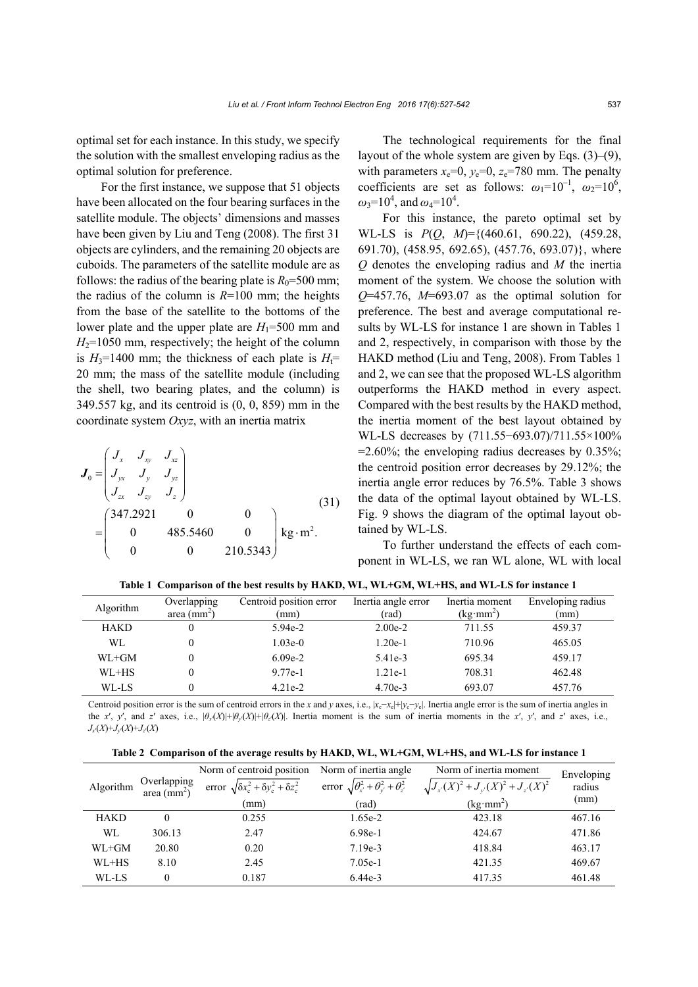optimal set for each instance. In this study, we specify the solution with the smallest enveloping radius as the optimal solution for preference.

For the first instance, we suppose that 51 objects have been allocated on the four bearing surfaces in the satellite module. The objects' dimensions and masses have been given by Liu and Teng (2008). The first 31 objects are cylinders, and the remaining 20 objects are cuboids. The parameters of the satellite module are as follows: the radius of the bearing plate is  $R_0$ =500 mm; the radius of the column is *R*=100 mm; the heights from the base of the satellite to the bottoms of the lower plate and the upper plate are  $H_1$ =500 mm and  $H_2$ =1050 mm, respectively; the height of the column is  $H_3$ =1400 mm; the thickness of each plate is  $H_1$ = 20 mm; the mass of the satellite module (including the shell, two bearing plates, and the column) is 349.557 kg, and its centroid is (0, 0, 859) mm in the coordinate system *Oxyz*, with an inertia matrix

$$
J_0 = \begin{pmatrix} J_x & J_{xy} & J_{xz} \\ J_{yx} & J_y & J_{yz} \\ J_{zx} & J_{zy} & J_z \end{pmatrix}
$$
  
= 
$$
\begin{pmatrix} 347.2921 & 0 & 0 \\ 0 & 485.5460 & 0 \\ 0 & 0 & 210.5343 \end{pmatrix}
$$
 kg·m<sup>2</sup>. (31)

The technological requirements for the final layout of the whole system are given by Eqs. (3)–(9), with parameters  $x_e=0$ ,  $y_e=0$ ,  $z_e=780$  mm. The penalty coefficients are set as follows:  $\omega_1 = 10^{-1}$ ,  $\omega_2 = 10^6$ ,  $\omega_3 = 10^4$ , and  $\omega_4 = 10^4$ .

For this instance, the pareto optimal set by WL-LS is *P*(*Q*, *M*)={(460.61, 690.22), (459.28, 691.70), (458.95, 692.65), (457.76, 693.07)}, where *Q* denotes the enveloping radius and *M* the inertia moment of the system. We choose the solution with *Q*=457.76, *M*=693.07 as the optimal solution for preference. The best and average computational results by WL-LS for instance 1 are shown in Tables 1 and 2, respectively, in comparison with those by the HAKD method (Liu and Teng, 2008). From Tables 1 and 2, we can see that the proposed WL-LS algorithm outperforms the HAKD method in every aspect. Compared with the best results by the HAKD method, the inertia moment of the best layout obtained by WL-LS decreases by (711.55−693.07)/711.55×100%  $=2.60\%$ ; the enveloping radius decreases by 0.35%; the centroid position error decreases by 29.12%; the inertia angle error reduces by 76.5%. Table 3 shows the data of the optimal layout obtained by WL-LS. Fig. 9 shows the diagram of the optimal layout obtained by WL-LS.

To further understand the effects of each component in WL-LS, we ran WL alone, WL with local

|  |  | Table 1 Comparison of the best results by HAKD, WL, WL+GM, WL+HS, and WL-LS for instance 1 |  |  |  |  |  |  |
|--|--|--------------------------------------------------------------------------------------------|--|--|--|--|--|--|
|--|--|--------------------------------------------------------------------------------------------|--|--|--|--|--|--|

| Algorithm   | Overlapping  | Centroid position error | Inertia angle error | Inertia moment        | Enveloping radius |
|-------------|--------------|-------------------------|---------------------|-----------------------|-------------------|
|             | area $(mm2)$ | (mm)                    | (rad)               | (kg·mm <sup>2</sup> ) | (mm)              |
| <b>HAKD</b> |              | $5.94e-2$               | $2.00e-2$           | 711.55                | 459.37            |
| WL          |              | $1.03e-0$               | 1.20e-1             | 710.96                | 465.05            |
| $W1 + GM$   |              | $6.09e-2$               | 5.41e-3             | 695.34                | 459.17            |
| WL+HS       |              | $9.77e-1$               | $1.21e-1$           | 708.31                | 462.48            |
| WL-LS       |              | $4.21e-2$               | $4.70e-3$           | 693.07                | 457.76            |

Centroid position error is the sum of centroid errors in the *x* and *y* axes, i.e., |*x*c−*x*e|+|*y*c−*y*e|. Inertia angle error is the sum of inertia angles in the x', y', and z' axes, i.e.,  $|\theta_{\rm r}(X)| + |\theta_{\rm r}(X)|$ . Inertia moment is the sum of inertia moments in the x', y', and z' axes, i.e.,  $J_x(X)+J_y(X)+J_z(X)$ 

**Table 2 Comparison of the average results by HAKD, WL, WL+GM, WL+HS, and WL-LS for instance 1** 

|             |                                     | Norm of centroid position                                 | Norm of inertia angle                                        | Norm of inertia moment                           | Enveloping |
|-------------|-------------------------------------|-----------------------------------------------------------|--------------------------------------------------------------|--------------------------------------------------|------------|
| Algorithm   | Overlapping<br>area $\text{(mm)}^2$ | error $\sqrt{\delta x_c^2 + \delta y_c^2 + \delta z_c^2}$ | error $\sqrt{\theta_{x'}^2 + \theta_{y'}^2 + \theta_{z'}^2}$ | $\sqrt{J_{x'}(X)^2 + J_{y'}(X)^2 + J_{z'}(X)^2}$ | radius     |
|             |                                     | (mm)                                                      | (rad)                                                        | (kg·mm <sup>2</sup> )                            | (mm)       |
| <b>HAKD</b> | 0                                   | 0.255                                                     | $1.65e-2$                                                    | 423.18                                           | 467.16     |
| WL          | 306.13                              | 2.47                                                      | $6.98e-1$                                                    | 424.67                                           | 471.86     |
| $WL+GM$     | 20.80                               | 0.20                                                      | $7.19e-3$                                                    | 418.84                                           | 463.17     |
| WL+HS       | 8.10                                | 2.45                                                      | $7.05e-1$                                                    | 421.35                                           | 469.67     |
| WL-LS       | 0                                   | 0.187                                                     | $6.44e-3$                                                    | 417.35                                           | 461.48     |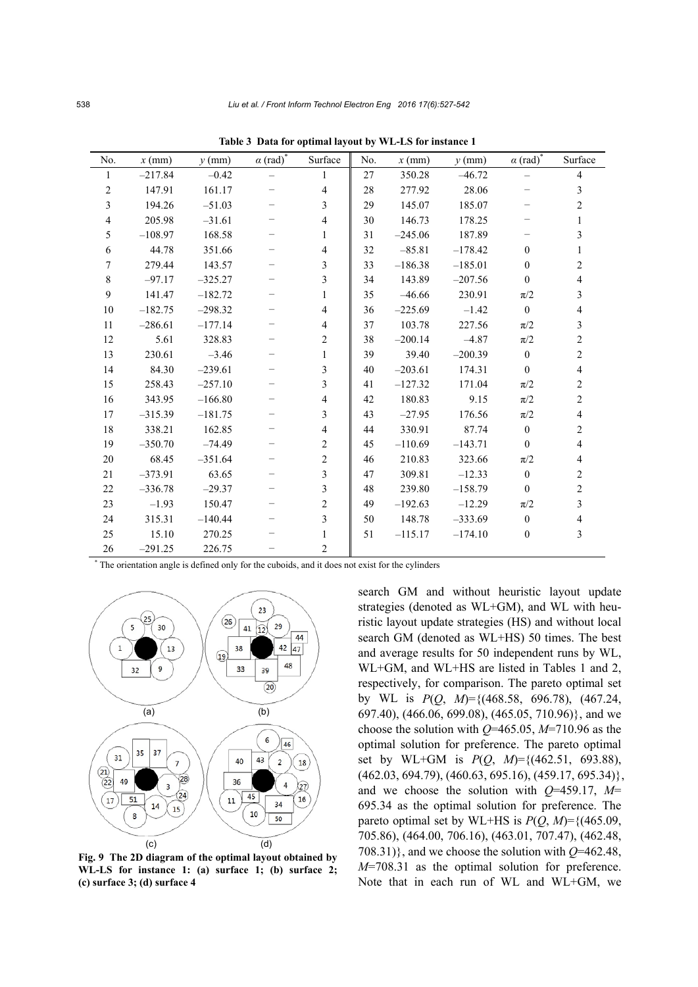| No.            | $x$ (mm)  | $v$ (mm)  | $\alpha$ (rad) $^{*}$ | Surface        | No. | $x$ (mm)  | $v$ (mm)  | $\alpha$ (rad) $^{*}$ | Surface        |
|----------------|-----------|-----------|-----------------------|----------------|-----|-----------|-----------|-----------------------|----------------|
| $\mathbf{1}$   | $-217.84$ | $-0.42$   |                       | 1              | 27  | 350.28    | $-46.72$  |                       | $\overline{4}$ |
| $\sqrt{2}$     | 147.91    | 161.17    |                       | 4              | 28  | 277.92    | 28.06     |                       | 3              |
| $\mathfrak{Z}$ | 194.26    | $-51.03$  |                       | 3              | 29  | 145.07    | 185.07    |                       | $\overline{2}$ |
| $\overline{4}$ | 205.98    | $-31.61$  |                       | 4              | 30  | 146.73    | 178.25    |                       | 1              |
| 5              | $-108.97$ | 168.58    |                       | 1              | 31  | $-245.06$ | 187.89    |                       | 3              |
| 6              | 44.78     | 351.66    |                       | 4              | 32  | $-85.81$  | $-178.42$ | $\theta$              | 1              |
| 7              | 279.44    | 143.57    |                       | 3              | 33  | $-186.38$ | $-185.01$ | $\theta$              | $\overline{c}$ |
| $\,8\,$        | $-97.17$  | $-325.27$ |                       | 3              | 34  | 143.89    | $-207.56$ | $\mathbf{0}$          | $\overline{4}$ |
| $\mathbf{9}$   | 141.47    | $-182.72$ |                       | 1              | 35  | $-46.66$  | 230.91    | $\pi/2$               | 3              |
| 10             | $-182.75$ | $-298.32$ |                       | 4              | 36  | $-225.69$ | $-1.42$   | $\overline{0}$        | $\overline{4}$ |
| 11             | $-286.61$ | $-177.14$ |                       | 4              | 37  | 103.78    | 227.56    | $\pi/2$               | 3              |
| 12             | 5.61      | 328.83    |                       | 2              | 38  | $-200.14$ | $-4.87$   | $\pi/2$               | $\overline{c}$ |
| 13             | 230.61    | $-3.46$   |                       | 1              | 39  | 39.40     | $-200.39$ | $\overline{0}$        | $\overline{2}$ |
| 14             | 84.30     | $-239.61$ |                       | 3              | 40  | $-203.61$ | 174.31    | $\mathbf{0}$          | $\overline{4}$ |
| 15             | 258.43    | $-257.10$ |                       | 3              | 41  | $-127.32$ | 171.04    | $\pi/2$               | $\overline{2}$ |
| 16             | 343.95    | $-166.80$ |                       | $\overline{4}$ | 42  | 180.83    | 9.15      | $\pi/2$               | $\overline{2}$ |
| 17             | $-315.39$ | $-181.75$ |                       | 3              | 43  | $-27.95$  | 176.56    | $\pi/2$               | $\overline{4}$ |
| 18             | 338.21    | 162.85    |                       | 4              | 44  | 330.91    | 87.74     | $\overline{0}$        | $\overline{c}$ |
| 19             | $-350.70$ | $-74.49$  |                       | 2              | 45  | $-110.69$ | $-143.71$ | $\theta$              | $\overline{4}$ |
| 20             | 68.45     | $-351.64$ |                       | 2              | 46  | 210.83    | 323.66    | $\pi/2$               | $\overline{4}$ |
| 21             | $-373.91$ | 63.65     |                       | 3              | 47  | 309.81    | $-12.33$  | $\overline{0}$        | $\overline{2}$ |
| 22             | $-336.78$ | $-29.37$  |                       | 3              | 48  | 239.80    | $-158.79$ | $\mathbf{0}$          | $\overline{2}$ |
| 23             | $-1.93$   | 150.47    |                       | 2              | 49  | $-192.63$ | $-12.29$  | $\pi/2$               | 3              |
| 24             | 315.31    | $-140.44$ |                       | 3              | 50  | 148.78    | $-333.69$ | $\mathbf{0}$          | $\overline{4}$ |
| 25             | 15.10     | 270.25    |                       | 1              | 51  | $-115.17$ | $-174.10$ | $\theta$              | 3              |
| 26             | $-291.25$ | 226.75    |                       | 2              |     |           |           |                       |                |

**Table 3 Data for optimal layout by WL-LS for instance 1** 

\* The orientation angle is defined only for the cuboids, and it does not exist for the cylinders



**Fig. 9 The 2D diagram of the optimal layout obtained by WL-LS for instance 1: (a) surface 1; (b) surface 2; (c) surface 3; (d) surface 4**

search GM and without heuristic layout update strategies (denoted as WL+GM), and WL with heuristic layout update strategies (HS) and without local search GM (denoted as WL+HS) 50 times. The best and average results for 50 independent runs by WL, WL+GM, and WL+HS are listed in Tables 1 and 2, respectively, for comparison. The pareto optimal set by WL is *P*(*Q*, *M*)={(468.58, 696.78), (467.24, 697.40), (466.06, 699.08), (465.05, 710.96)}, and we choose the solution with *Q*=465.05, *M*=710.96 as the optimal solution for preference. The pareto optimal set by WL+GM is *P*(*Q*, *M*)={(462.51, 693.88),  $(462.03, 694.79), (460.63, 695.16), (459.17, 695.34)$ and we choose the solution with *Q*=459.17, *M*= 695.34 as the optimal solution for preference. The pareto optimal set by WL+HS is  $P(Q, M) = \{(465.09,$ 705.86), (464.00, 706.16), (463.01, 707.47), (462.48, 708.31)}, and we choose the solution with *Q*=462.48, *M*=708.31 as the optimal solution for preference. Note that in each run of WL and WL+GM, we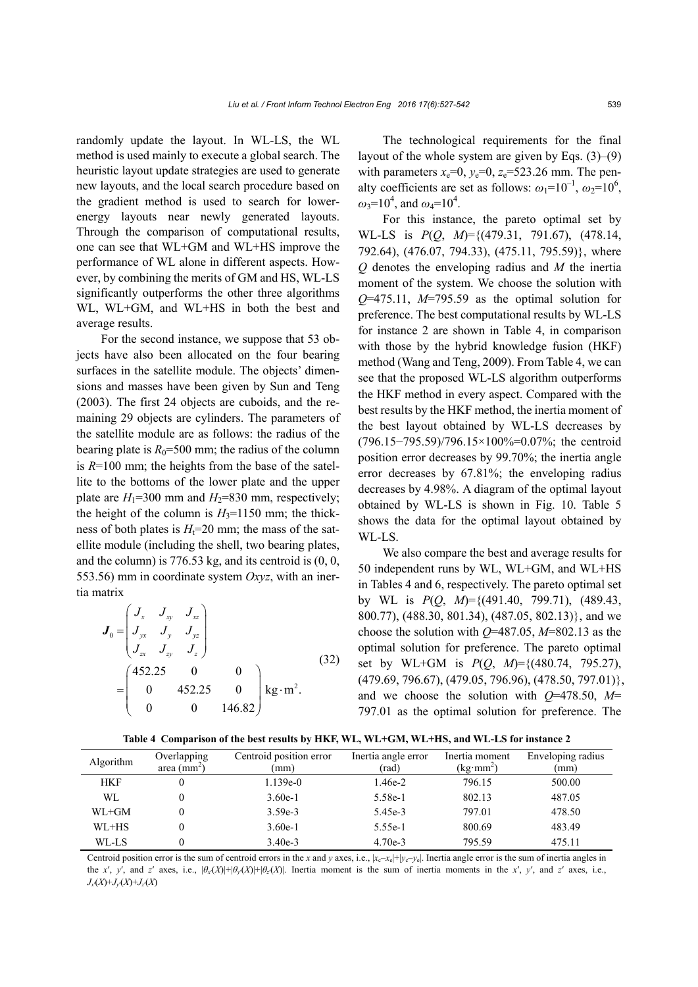randomly update the layout. In WL-LS, the WL method is used mainly to execute a global search. The heuristic layout update strategies are used to generate new layouts, and the local search procedure based on the gradient method is used to search for lowerenergy layouts near newly generated layouts. Through the comparison of computational results, one can see that WL+GM and WL+HS improve the performance of WL alone in different aspects. However, by combining the merits of GM and HS, WL-LS significantly outperforms the other three algorithms WL, WL+GM, and WL+HS in both the best and average results.

For the second instance, we suppose that 53 objects have also been allocated on the four bearing surfaces in the satellite module. The objects' dimensions and masses have been given by Sun and Teng (2003). The first 24 objects are cuboids, and the remaining 29 objects are cylinders. The parameters of the satellite module are as follows: the radius of the bearing plate is  $R_0$ =500 mm; the radius of the column is *R*=100 mm; the heights from the base of the satellite to the bottoms of the lower plate and the upper plate are  $H_1$ =300 mm and  $H_2$ =830 mm, respectively; the height of the column is  $H_3$ =1150 mm; the thickness of both plates is  $H<sub>t</sub>=20$  mm; the mass of the satellite module (including the shell, two bearing plates, and the column) is 776.53 kg, and its centroid is  $(0, 0, 0)$ 553.56) mm in coordinate system *Oxyz*, with an inertia matrix

$$
J_0 = \begin{pmatrix} J_x & J_{xy} & J_{xz} \\ J_{yx} & J_y & J_{yz} \\ J_{zx} & J_{zy} & J_z \end{pmatrix}
$$
  
= 
$$
\begin{pmatrix} 452.25 & 0 & 0 \\ 0 & 452.25 & 0 \\ 0 & 0 & 146.82 \end{pmatrix} \text{kg} \cdot \text{m}^2.
$$
 (32)

The technological requirements for the final layout of the whole system are given by Eqs.  $(3)$ – $(9)$ with parameters  $x_e=0$ ,  $y_e=0$ ,  $z_e=523.26$  mm. The penalty coefficients are set as follows:  $\omega_1=10^{-1}$ ,  $\omega_2=10^6$ ,  $\omega_3 = 10^4$ , and  $\omega_4 = 10^4$ .

For this instance, the pareto optimal set by WL-LS is *P*(*Q*, *M*)={(479.31, 791.67), (478.14, 792.64), (476.07, 794.33), (475.11, 795.59)}, where *Q* denotes the enveloping radius and *M* the inertia moment of the system. We choose the solution with *Q*=475.11, *M*=795.59 as the optimal solution for preference. The best computational results by WL-LS for instance 2 are shown in Table 4, in comparison with those by the hybrid knowledge fusion (HKF) method (Wang and Teng, 2009). From Table 4, we can see that the proposed WL-LS algorithm outperforms the HKF method in every aspect. Compared with the best results by the HKF method, the inertia moment of the best layout obtained by WL-LS decreases by (796.15−795.59)/796.15×100%=0.07%; the centroid position error decreases by 99.70%; the inertia angle error decreases by 67.81%; the enveloping radius decreases by 4.98%. A diagram of the optimal layout obtained by WL-LS is shown in Fig. 10. Table 5 shows the data for the optimal layout obtained by WL-LS.

We also compare the best and average results for 50 independent runs by WL, WL+GM, and WL+HS in Tables 4 and 6, respectively. The pareto optimal set by WL is *P*(*Q*, *M*)={(491.40, 799.71), (489.43, 800.77), (488.30, 801.34), (487.05, 802.13)}, and we choose the solution with *Q*=487.05, *M*=802.13 as the optimal solution for preference. The pareto optimal set by WL+GM is *P*(*Q*, *M*)={(480.74, 795.27),  $(479.69, 796.67), (479.05, 796.96), (478.50, 797.01)$ and we choose the solution with *Q*=478.50, *M*= 797.01 as the optimal solution for preference. The

| Algorithm  | Overlapping<br>area $(mm2)$ | Centroid position error<br>(mm) | Inertia angle error<br>(rad) | Inertia moment<br>(kg·mm <sup>2</sup> ) | Enveloping radius<br>(mm) |
|------------|-----------------------------|---------------------------------|------------------------------|-----------------------------------------|---------------------------|
| <b>HKF</b> |                             | $1.139e-0$                      | 1.46e-2                      | 796.15                                  | 500.00                    |
| WL         |                             | $3.60e-1$                       | 5.58e-1                      | 802.13                                  | 487.05                    |
| $WL+GM$    |                             | $3.59e-3$                       | 5.45e-3                      | 797.01                                  | 478.50                    |
| WL+HS      |                             | $3.60e-1$                       | 5.55e-1                      | 800.69                                  | 483.49                    |
| WL-LS      |                             | $3.40e-3$                       | $4.70e-3$                    | 795.59                                  | 475.11                    |

Centroid position error is the sum of centroid errors in the *x* and *y* axes, i.e.,  $|x_c-x_c|+|y_c-y_c|$ . Inertia angle error is the sum of inertia angles in the x', y', and z' axes, i.e.,  $|\theta_x(X)| + |\theta_y(X)| + |\theta_z(X)|$ . Inertia moment is the sum of inertia moments in the x', y', and z' axes, i.e.,  $J_{x'}(X)+J_{y'}(X)+J_{z'}(X)$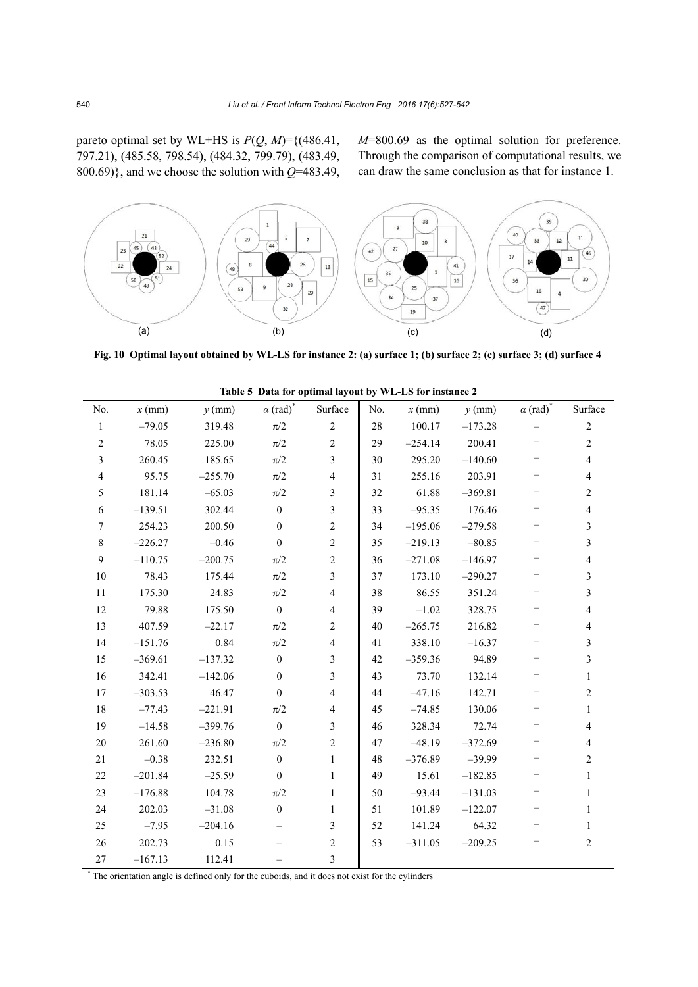pareto optimal set by WL+HS is  $P(Q, M) = \{(486.41,$ 797.21), (485.58, 798.54), (484.32, 799.79), (483.49, 800.69)}, and we choose the solution with *Q*=483.49, *M*=800.69 as the optimal solution for preference. Through the comparison of computational results, we can draw the same conclusion as that for instance 1.



**Fig. 10 Optimal layout obtained by WL-LS for instance 2: (a) surface 1; (b) surface 2; (c) surface 3; (d) surface 4**

| No.            | $x$ (mm)  | $y$ (mm)  | $\alpha$ (rad) <sup>*</sup> | Surface                 | No. | $x$ (mm)  | $y$ (mm)  | $\alpha$ (rad) <sup>*</sup> | Surface                 |
|----------------|-----------|-----------|-----------------------------|-------------------------|-----|-----------|-----------|-----------------------------|-------------------------|
| 1              | $-79.05$  | 319.48    | $\pi/2$                     | $\overline{2}$          | 28  | 100.17    | $-173.28$ |                             | $\overline{2}$          |
| $\overline{2}$ | 78.05     | 225.00    | $\pi/2$                     | $\overline{c}$          | 29  | $-254.14$ | 200.41    |                             | $\overline{c}$          |
| 3              | 260.45    | 185.65    | $\pi/2$                     | 3                       | 30  | 295.20    | $-140.60$ |                             | $\overline{\mathbf{4}}$ |
| $\overline{4}$ | 95.75     | $-255.70$ | $\pi/2$                     | 4                       | 31  | 255.16    | 203.91    |                             | $\overline{4}$          |
| 5              | 181.14    | $-65.03$  | $\pi/2$                     | 3                       | 32  | 61.88     | $-369.81$ |                             | 2                       |
| 6              | $-139.51$ | 302.44    | $\boldsymbol{0}$            | 3                       | 33  | $-95.35$  | 176.46    |                             | 4                       |
| 7              | 254.23    | 200.50    | $\mathbf{0}$                | $\overline{c}$          | 34  | $-195.06$ | $-279.58$ |                             | 3                       |
| $\,8\,$        | $-226.27$ | $-0.46$   | $\boldsymbol{0}$            | $\overline{c}$          | 35  | $-219.13$ | $-80.85$  |                             | 3                       |
| 9              | $-110.75$ | $-200.75$ | $\pi/2$                     | 2                       | 36  | $-271.08$ | $-146.97$ |                             | 4                       |
| 10             | 78.43     | 175.44    | $\pi/2$                     | 3                       | 37  | 173.10    | $-290.27$ |                             | 3                       |
| 11             | 175.30    | 24.83     | $\pi/2$                     | 4                       | 38  | 86.55     | 351.24    |                             | 3                       |
| 12             | 79.88     | 175.50    | $\mathbf{0}$                | 4                       | 39  | $-1.02$   | 328.75    |                             | 4                       |
| 13             | 407.59    | $-22.17$  | $\pi/2$                     | 2                       | 40  | $-265.75$ | 216.82    |                             | $\overline{4}$          |
| 14             | $-151.76$ | 0.84      | $\pi/2$                     | 4                       | 41  | 338.10    | $-16.37$  |                             | 3                       |
| 15             | $-369.61$ | $-137.32$ | $\boldsymbol{0}$            | 3                       | 42  | $-359.36$ | 94.89     |                             | $\overline{\mathbf{3}}$ |
| 16             | 342.41    | $-142.06$ | $\mathbf{0}$                | $\overline{\mathbf{3}}$ | 43  | 73.70     | 132.14    |                             | 1                       |
| 17             | $-303.53$ | 46.47     | $\boldsymbol{0}$            | 4                       | 44  | $-47.16$  | 142.71    |                             | 2                       |
| 18             | $-77.43$  | $-221.91$ | $\pi/2$                     | 4                       | 45  | $-74.85$  | 130.06    |                             | 1                       |
| 19             | $-14.58$  | $-399.76$ | $\overline{0}$              | 3                       | 46  | 328.34    | 72.74     |                             | 4                       |
| $20\,$         | 261.60    | $-236.80$ | $\pi/2$                     | $\overline{c}$          | 47  | $-48.19$  | $-372.69$ |                             | 4                       |
| 21             | $-0.38$   | 232.51    | $\overline{0}$              | $\mathbf{1}$            | 48  | $-376.89$ | $-39.99$  |                             | $\mathbf{2}$            |
| 22             | $-201.84$ | $-25.59$  | $\mathbf{0}$                | 1                       | 49  | 15.61     | $-182.85$ |                             | 1                       |
| 23             | $-176.88$ | 104.78    | $\pi/2$                     | 1                       | 50  | $-93.44$  | $-131.03$ |                             | 1                       |
| 24             | 202.03    | $-31.08$  | $\boldsymbol{0}$            | 1                       | 51  | 101.89    | $-122.07$ |                             | 1                       |
| 25             | $-7.95$   | $-204.16$ |                             | 3                       | 52  | 141.24    | 64.32     |                             | 1                       |
| $26\,$         | 202.73    | 0.15      |                             | $\overline{c}$          | 53  | $-311.05$ | $-209.25$ |                             | $\overline{c}$          |
| 27             | $-167.13$ | 112.41    |                             | 3                       |     |           |           |                             |                         |

**Table 5 Data for optimal layout by WL-LS for instance 2** 

\* The orientation angle is defined only for the cuboids, and it does not exist for the cylinders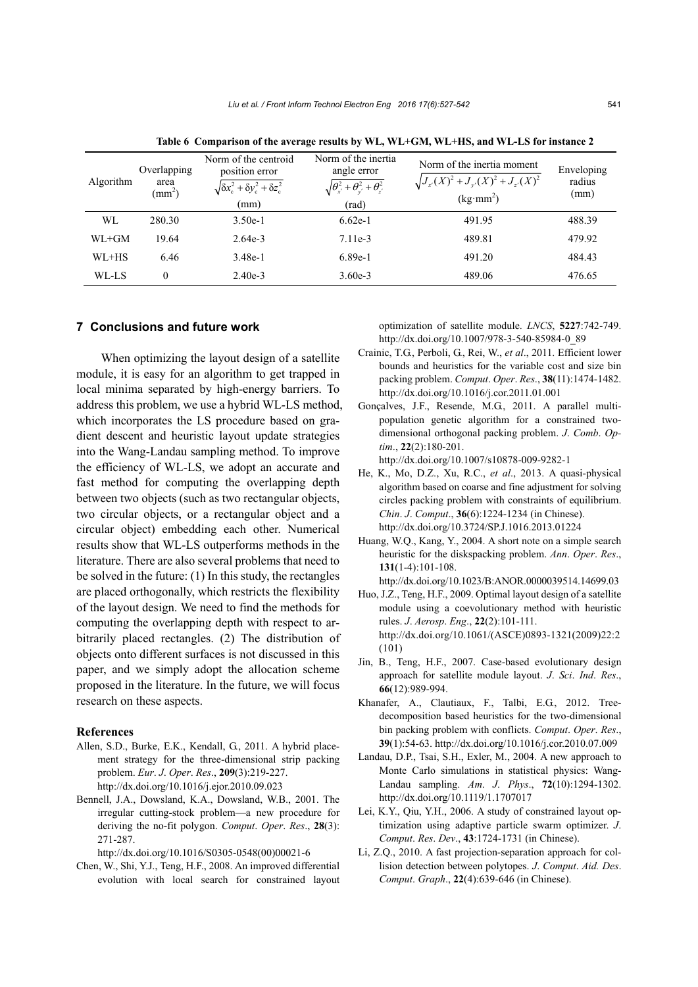| <b>Algorithm</b> | Overlapping<br>area<br>$\text{(mm}^2)$ | Norm of the centroid<br>position error<br>$\sqrt{\delta x_c^2 + \delta y_c^2 + \delta z_c^2}$<br>(mm) | Norm of the inertia.<br>angle error<br>$\sqrt{\theta_{x'}^2 + \theta_{y'}^2 + \theta_{z'}^2}$<br>(rad) | Norm of the inertia moment<br>$\sqrt{J_{x'}(X)^2 + J_{y'}(X)^2 + J_{z'}(X)^2}$<br>(kg·mm <sup>2</sup> ) | Enveloping<br>radius<br>(mm) |
|------------------|----------------------------------------|-------------------------------------------------------------------------------------------------------|--------------------------------------------------------------------------------------------------------|---------------------------------------------------------------------------------------------------------|------------------------------|
| <b>WL</b>        | 280.30                                 | $3.50e-1$                                                                                             | $6.62e-1$                                                                                              | 491.95                                                                                                  | 488.39                       |
| $W1 + GM$        | 19.64                                  | $2.64e-3$                                                                                             | $7.11e-3$                                                                                              | 489.81                                                                                                  | 479.92                       |
| $W1 + HS$        | 6.46                                   | $3.48e-1$                                                                                             | $6.89e-1$                                                                                              | 491.20                                                                                                  | 484.43                       |
| WL-LS            | $\Omega$                               | $2.40e-3$                                                                                             | $3.60e-3$                                                                                              | 489.06                                                                                                  | 476.65                       |

**Table 6 Comparison of the average results by WL, WL+GM, WL+HS, and WL-LS for instance 2** 

## **7 Conclusions and future work**

When optimizing the layout design of a satellite module, it is easy for an algorithm to get trapped in local minima separated by high-energy barriers. To address this problem, we use a hybrid WL-LS method, which incorporates the LS procedure based on gradient descent and heuristic layout update strategies into the Wang-Landau sampling method. To improve the efficiency of WL-LS, we adopt an accurate and fast method for computing the overlapping depth between two objects (such as two rectangular objects, two circular objects, or a rectangular object and a circular object) embedding each other. Numerical results show that WL-LS outperforms methods in the literature. There are also several problems that need to be solved in the future: (1) In this study, the rectangles are placed orthogonally, which restricts the flexibility of the layout design. We need to find the methods for computing the overlapping depth with respect to arbitrarily placed rectangles. (2) The distribution of objects onto different surfaces is not discussed in this paper, and we simply adopt the allocation scheme proposed in the literature. In the future, we will focus research on these aspects.

#### **References**

- Allen, S.D., Burke, E.K., Kendall, G., 2011. A hybrid placement strategy for the three-dimensional strip packing problem. *Eur*. *J*. *Oper*. *Res*., **209**(3):219-227. http://dx.doi.org/10.1016/j.ejor.2010.09.023
- Bennell, J.A., Dowsland, K.A., Dowsland, W.B., 2001. The irregular cutting-stock problem—a new procedure for deriving the no-fit polygon. *Comput*. *Oper*. *Res*., **28**(3): 271-287.

http://dx.doi.org/10.1016/S0305-0548(00)00021-6

Chen, W., Shi, Y.J., Teng, H.F., 2008. An improved differential evolution with local search for constrained layout optimization of satellite module. *LNCS*, **5227**:742-749. http://dx.doi.org/10.1007/978-3-540-85984-0\_89

- Crainic, T.G., Perboli, G., Rei, W., *et al*., 2011. Efficient lower bounds and heuristics for the variable cost and size bin packing problem. *Comput*. *Oper*. *Res*., **38**(11):1474-1482. http://dx.doi.org/10.1016/j.cor.2011.01.001
- Gonçalves, J.F., Resende, M.G., 2011. A parallel multipopulation genetic algorithm for a constrained twodimensional orthogonal packing problem. *J*. *Comb*. *Optim*., **22**(2):180-201.
	- http://dx.doi.org/10.1007/s10878-009-9282-1
- He, K., Mo, D.Z., Xu, R.C., *et al*., 2013. A quasi-physical algorithm based on coarse and fine adjustment for solving circles packing problem with constraints of equilibrium. *Chin*. *J*. *Comput*., **36**(6):1224-1234 (in Chinese). http://dx.doi.org/10.3724/SP.J.1016.2013.01224
- Huang, W.Q., Kang, Y., 2004. A short note on a simple search heuristic for the diskspacking problem. *Ann*. *Oper*. *Res*., **131**(1-4):101-108.

http://dx.doi.org/10.1023/B:ANOR.0000039514.14699.03

- Huo, J.Z., Teng, H.F., 2009. Optimal layout design of a satellite module using a coevolutionary method with heuristic rules. *J*. *Aerosp*. *Eng*., **22**(2):101-111. http://dx.doi.org/10.1061/(ASCE)0893-1321(2009)22:2 (101)
- Jin, B., Teng, H.F., 2007. Case-based evolutionary design approach for satellite module layout. *J*. *Sci*. *Ind*. *Res*., **66**(12):989-994.
- Khanafer, A., Clautiaux, F., Talbi, E.G., 2012. Treedecomposition based heuristics for the two-dimensional bin packing problem with conflicts. *Comput*. *Oper*. *Res*., **39**(1):54-63. http://dx.doi.org/10.1016/j.cor.2010.07.009
- Landau, D.P., Tsai, S.H., Exler, M., 2004. A new approach to Monte Carlo simulations in statistical physics: Wang-Landau sampling. *Am*. *J*. *Phys*., **72**(10):1294-1302. http://dx.doi.org/10.1119/1.1707017
- Lei, K.Y., Qiu, Y.H., 2006. A study of constrained layout optimization using adaptive particle swarm optimizer. *J*. *Comput*. *Res*. *Dev*., **43**:1724-1731 (in Chinese).
- Li, Z.Q., 2010. A fast projection-separation approach for collision detection between polytopes. *J*. *Comput*. *Aid. Des*. *Comput*. *Graph*., **22**(4):639-646 (in Chinese).